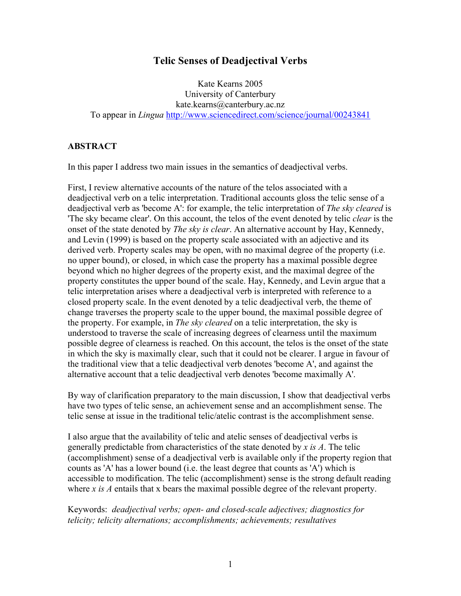# **Telic Senses of Deadjectival Verbs**

Kate Kearns 2005 University of Canterbury kate.kearns@canterbury.ac.nz To appear in *Lingua* http://www.sciencedirect.com/science/journal/00243841

#### **ABSTRACT**

In this paper I address two main issues in the semantics of deadjectival verbs.

First, I review alternative accounts of the nature of the telos associated with a deadjectival verb on a telic interpretation. Traditional accounts gloss the telic sense of a deadjectival verb as 'become A': for example, the telic interpretation of *The sky cleared* is 'The sky became clear'. On this account, the telos of the event denoted by telic *clear* is the onset of the state denoted by *The sky is clear*. An alternative account by Hay, Kennedy, and Levin (1999) is based on the property scale associated with an adjective and its derived verb. Property scales may be open, with no maximal degree of the property (i.e. no upper bound), or closed, in which case the property has a maximal possible degree beyond which no higher degrees of the property exist, and the maximal degree of the property constitutes the upper bound of the scale. Hay, Kennedy, and Levin argue that a telic interpretation arises where a deadjectival verb is interpreted with reference to a closed property scale. In the event denoted by a telic deadjectival verb, the theme of change traverses the property scale to the upper bound, the maximal possible degree of the property. For example, in *The sky cleared* on a telic interpretation, the sky is understood to traverse the scale of increasing degrees of clearness until the maximum possible degree of clearness is reached. On this account, the telos is the onset of the state in which the sky is maximally clear, such that it could not be clearer. I argue in favour of the traditional view that a telic deadjectival verb denotes 'become A', and against the alternative account that a telic deadjectival verb denotes 'become maximally A'.

By way of clarification preparatory to the main discussion, I show that deadjectival verbs have two types of telic sense, an achievement sense and an accomplishment sense. The telic sense at issue in the traditional telic/atelic contrast is the accomplishment sense.

I also argue that the availability of telic and atelic senses of deadjectival verbs is generally predictable from characteristics of the state denoted by *x is A*. The telic (accomplishment) sense of a deadjectival verb is available only if the property region that counts as 'A' has a lower bound (i.e. the least degree that counts as 'A') which is accessible to modification. The telic (accomplishment) sense is the strong default reading where *x is A* entails that *x* bears the maximal possible degree of the relevant property.

Keywords: *deadjectival verbs; open- and closed-scale adjectives; diagnostics for telicity; telicity alternations; accomplishments; achievements; resultatives*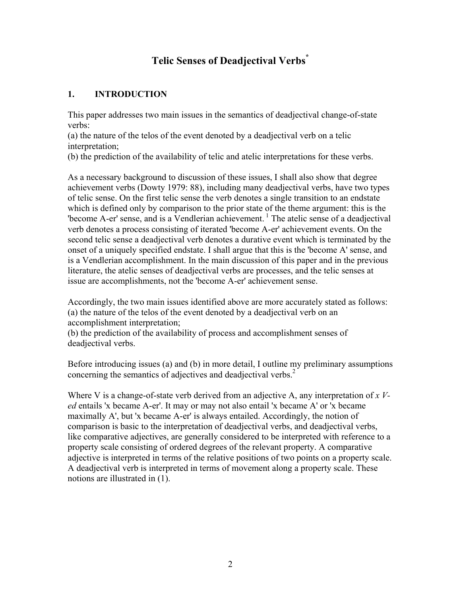# **Telic Senses of Deadjectival Verbs\***

#### **1. INTRODUCTION**

This paper addresses two main issues in the semantics of deadjectival change-of-state verbs:

(a) the nature of the telos of the event denoted by a deadjectival verb on a telic interpretation;

(b) the prediction of the availability of telic and atelic interpretations for these verbs.

As a necessary background to discussion of these issues, I shall also show that degree achievement verbs (Dowty 1979: 88), including many deadjectival verbs, have two types of telic sense. On the first telic sense the verb denotes a single transition to an endstate which is defined only by comparison to the prior state of the theme argument: this is the 'become A-er' sense, and is a Vendlerian achievement.<sup>1</sup> The atelic sense of a deadjectival verb denotes a process consisting of iterated 'become A-er' achievement events. On the second telic sense a deadjectival verb denotes a durative event which is terminated by the onset of a uniquely specified endstate. I shall argue that this is the 'become A' sense, and is a Vendlerian accomplishment. In the main discussion of this paper and in the previous literature, the atelic senses of deadjectival verbs are processes, and the telic senses at issue are accomplishments, not the 'become A-er' achievement sense.

Accordingly, the two main issues identified above are more accurately stated as follows: (a) the nature of the telos of the event denoted by a deadjectival verb on an accomplishment interpretation;

(b) the prediction of the availability of process and accomplishment senses of deadjectival verbs.

Before introducing issues (a) and (b) in more detail, I outline my preliminary assumptions concerning the semantics of adjectives and deadjectival verbs. $2$ 

Where V is a change-of-state verb derived from an adjective A, any interpretation of *x Ved* entails 'x became A-er'. It may or may not also entail 'x became A' or 'x became maximally A', but 'x became A-er' is always entailed. Accordingly, the notion of comparison is basic to the interpretation of deadjectival verbs, and deadjectival verbs, like comparative adjectives, are generally considered to be interpreted with reference to a property scale consisting of ordered degrees of the relevant property. A comparative adjective is interpreted in terms of the relative positions of two points on a property scale. A deadjectival verb is interpreted in terms of movement along a property scale. These notions are illustrated in (1).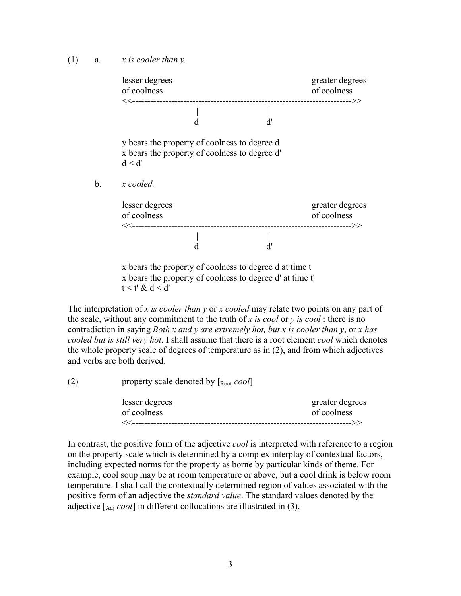(1) a. *x is cooler than y.*



 $t < t'$  &  $d < d'$ 

The interpretation of *x is cooler than y* or *x cooled* may relate two points on any part of the scale, without any commitment to the truth of *x is cool* or *y is cool* : there is no contradiction in saying *Both x and y are extremely hot, but x is cooler than y*, or *x has cooled but is still very hot*. I shall assume that there is a root element *cool* which denotes the whole property scale of degrees of temperature as in (2), and from which adjectives and verbs are both derived.

(2) property scale denoted by [Root *cool*]

| lesser degrees | greater degrees |
|----------------|-----------------|
| of coolness    | of coolness     |
|                |                 |

In contrast, the positive form of the adjective *cool* is interpreted with reference to a region on the property scale which is determined by a complex interplay of contextual factors, including expected norms for the property as borne by particular kinds of theme. For example, cool soup may be at room temperature or above, but a cool drink is below room temperature. I shall call the contextually determined region of values associated with the positive form of an adjective the *standard value*. The standard values denoted by the adjective [Adj *cool*] in different collocations are illustrated in (3).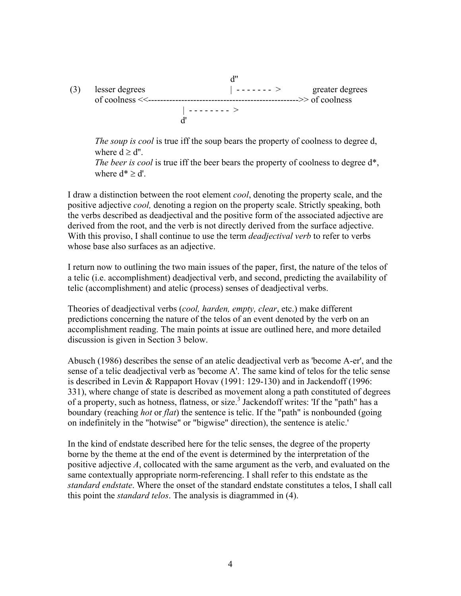

*The soup is cool* is true iff the soup bears the property of coolness to degree d, where  $d \ge d$ ".

*The beer is cool* is true iff the beer bears the property of coolness to degree  $d^*$ , where  $d^* \geq d'$ .

I draw a distinction between the root element *cool*, denoting the property scale, and the positive adjective *cool,* denoting a region on the property scale. Strictly speaking, both the verbs described as deadjectival and the positive form of the associated adjective are derived from the root, and the verb is not directly derived from the surface adjective. With this proviso, I shall continue to use the term *deadjectival verb* to refer to verbs whose base also surfaces as an adjective.

I return now to outlining the two main issues of the paper, first, the nature of the telos of a telic (i.e. accomplishment) deadjectival verb, and second, predicting the availability of telic (accomplishment) and atelic (process) senses of deadjectival verbs.

Theories of deadjectival verbs (*cool, harden, empty, clear*, etc.) make different predictions concerning the nature of the telos of an event denoted by the verb on an accomplishment reading. The main points at issue are outlined here, and more detailed discussion is given in Section 3 below.

Abusch (1986) describes the sense of an atelic deadjectival verb as 'become A-er', and the sense of a telic deadjectival verb as 'become A'. The same kind of telos for the telic sense is described in Levin & Rappaport Hovav (1991: 129-130) and in Jackendoff (1996: 331), where change of state is described as movement along a path constituted of degrees of a property, such as hotness, flatness, or size.<sup>3</sup> Jackendoff writes: 'If the "path" has a boundary (reaching *hot* or *flat*) the sentence is telic. If the "path" is nonbounded (going on indefinitely in the "hotwise" or "bigwise" direction), the sentence is atelic.'

In the kind of endstate described here for the telic senses, the degree of the property borne by the theme at the end of the event is determined by the interpretation of the positive adjective *A*, collocated with the same argument as the verb, and evaluated on the same contextually appropriate norm-referencing. I shall refer to this endstate as the *standard endstate*. Where the onset of the standard endstate constitutes a telos, I shall call this point the *standard telos*. The analysis is diagrammed in (4).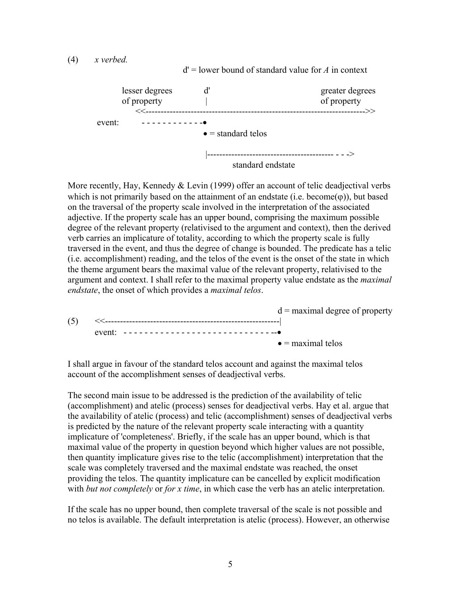(4) *x verbed.*

d' = lower bound of standard value for *A* in context



More recently, Hay, Kennedy & Levin (1999) offer an account of telic deadjectival verbs which is not primarily based on the attainment of an endstate (i.e. become $(\varphi)$ ), but based on the traversal of the property scale involved in the interpretation of the associated adjective. If the property scale has an upper bound, comprising the maximum possible degree of the relevant property (relativised to the argument and context), then the derived verb carries an implicature of totality, according to which the property scale is fully traversed in the event, and thus the degree of change is bounded. The predicate has a telic (i.e. accomplishment) reading, and the telos of the event is the onset of the state in which the theme argument bears the maximal value of the relevant property, relativised to the argument and context. I shall refer to the maximal property value endstate as the *maximal endstate*, the onset of which provides a *maximal telos*.

 $d =$  maximal degree of property (5) <<----------------------------------------------------------| event: - - - - - - - - - - - - - - - - - - - - - - - - - - - - --•  $\bullet$  = maximal telos

I shall argue in favour of the standard telos account and against the maximal telos account of the accomplishment senses of deadjectival verbs.

The second main issue to be addressed is the prediction of the availability of telic (accomplishment) and atelic (process) senses for deadjectival verbs. Hay et al. argue that the availability of atelic (process) and telic (accomplishment) senses of deadjectival verbs is predicted by the nature of the relevant property scale interacting with a quantity implicature of 'completeness'. Briefly, if the scale has an upper bound, which is that maximal value of the property in question beyond which higher values are not possible, then quantity implicature gives rise to the telic (accomplishment) interpretation that the scale was completely traversed and the maximal endstate was reached, the onset providing the telos. The quantity implicature can be cancelled by explicit modification with *but not completely* or *for x time*, in which case the verb has an atelic interpretation.

If the scale has no upper bound, then complete traversal of the scale is not possible and no telos is available. The default interpretation is atelic (process). However, an otherwise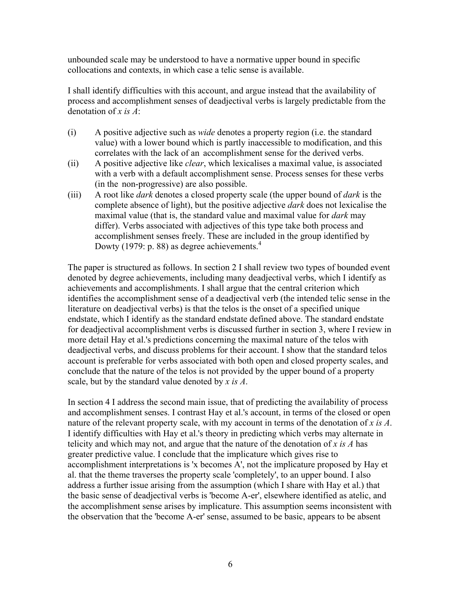unbounded scale may be understood to have a normative upper bound in specific collocations and contexts, in which case a telic sense is available.

I shall identify difficulties with this account, and argue instead that the availability of process and accomplishment senses of deadjectival verbs is largely predictable from the denotation of *x is A*:

- (i) A positive adjective such as *wide* denotes a property region (i.e. the standard value) with a lower bound which is partly inaccessible to modification, and this correlates with the lack of an accomplishment sense for the derived verbs.
- (ii) A positive adjective like *clear*, which lexicalises a maximal value, is associated with a verb with a default accomplishment sense. Process senses for these verbs (in the non-progressive) are also possible.
- (iii) A root like *dark* denotes a closed property scale (the upper bound of *dark* is the complete absence of light), but the positive adjective *dark* does not lexicalise the maximal value (that is, the standard value and maximal value for *dark* may differ). Verbs associated with adjectives of this type take both process and accomplishment senses freely. These are included in the group identified by Dowty (1979: p. 88) as degree achievements. $4$

The paper is structured as follows. In section 2 I shall review two types of bounded event denoted by degree achievements, including many deadjectival verbs, which I identify as achievements and accomplishments. I shall argue that the central criterion which identifies the accomplishment sense of a deadjectival verb (the intended telic sense in the literature on deadjectival verbs) is that the telos is the onset of a specified unique endstate, which I identify as the standard endstate defined above. The standard endstate for deadjectival accomplishment verbs is discussed further in section 3, where I review in more detail Hay et al.'s predictions concerning the maximal nature of the telos with deadjectival verbs, and discuss problems for their account. I show that the standard telos account is preferable for verbs associated with both open and closed property scales, and conclude that the nature of the telos is not provided by the upper bound of a property scale, but by the standard value denoted by *x is A*.

In section 4 I address the second main issue, that of predicting the availability of process and accomplishment senses. I contrast Hay et al.'s account, in terms of the closed or open nature of the relevant property scale, with my account in terms of the denotation of *x is A*. I identify difficulties with Hay et al.'s theory in predicting which verbs may alternate in telicity and which may not, and argue that the nature of the denotation of *x is A* has greater predictive value. I conclude that the implicature which gives rise to accomplishment interpretations is 'x becomes A', not the implicature proposed by Hay et al. that the theme traverses the property scale 'completely', to an upper bound. I also address a further issue arising from the assumption (which I share with Hay et al.) that the basic sense of deadjectival verbs is 'become A-er', elsewhere identified as atelic, and the accomplishment sense arises by implicature. This assumption seems inconsistent with the observation that the 'become A-er' sense, assumed to be basic, appears to be absent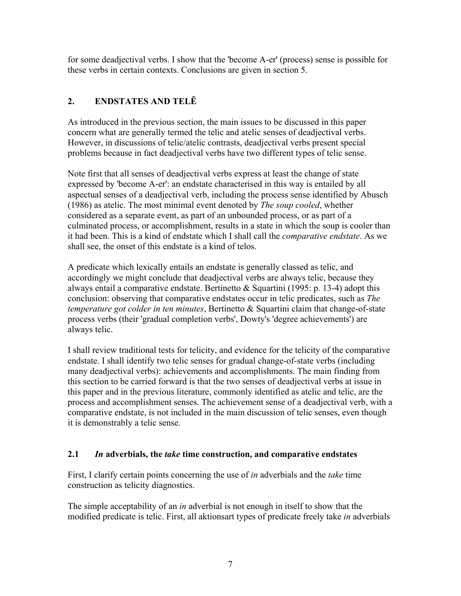for some deadjectival verbs. I show that the 'become A-er' (process) sense is possible for these verbs in certain contexts. Conclusions are given in section 5.

# **2. ENDSTATES AND TELÊ**

As introduced in the previous section, the main issues to be discussed in this paper concern what are generally termed the telic and atelic senses of deadjectival verbs. However, in discussions of telic/atelic contrasts, deadjectival verbs present special problems because in fact deadjectival verbs have two different types of telic sense.

Note first that all senses of deadjectival verbs express at least the change of state expressed by 'become A-er': an endstate characterised in this way is entailed by all aspectual senses of a deadjectival verb, including the process sense identified by Abusch (1986) as atelic. The most minimal event denoted by *The soup cooled*, whether considered as a separate event, as part of an unbounded process, or as part of a culminated process, or accomplishment, results in a state in which the soup is cooler than it had been. This is a kind of endstate which I shall call the *comparative endstate*. As we shall see, the onset of this endstate is a kind of telos.

A predicate which lexically entails an endstate is generally classed as telic, and accordingly we might conclude that deadjectival verbs are always telic, because they always entail a comparative endstate. Bertinetto  $&$  Squartini (1995: p. 13-4) adopt this conclusion: observing that comparative endstates occur in telic predicates, such as *The temperature got colder in ten minutes*, Bertinetto & Squartini claim that change-of-state process verbs (their 'gradual completion verbs', Dowty's 'degree achievements') are always telic.

I shall review traditional tests for telicity, and evidence for the telicity of the comparative endstate. I shall identify two telic senses for gradual change-of-state verbs (including many deadjectival verbs): achievements and accomplishments. The main finding from this section to be carried forward is that the two senses of deadjectival verbs at issue in this paper and in the previous literature, commonly identified as atelic and telic, are the process and accomplishment senses. The achievement sense of a deadjectival verb, with a comparative endstate, is not included in the main discussion of telic senses, even though it is demonstrably a telic sense.

# **2.1** *In* **adverbials, the** *take* **time construction, and comparative endstates**

First, I clarify certain points concerning the use of *in* adverbials and the *take* time construction as telicity diagnostics.

The simple acceptability of an *in* adverbial is not enough in itself to show that the modified predicate is telic. First, all aktionsart types of predicate freely take *in* adverbials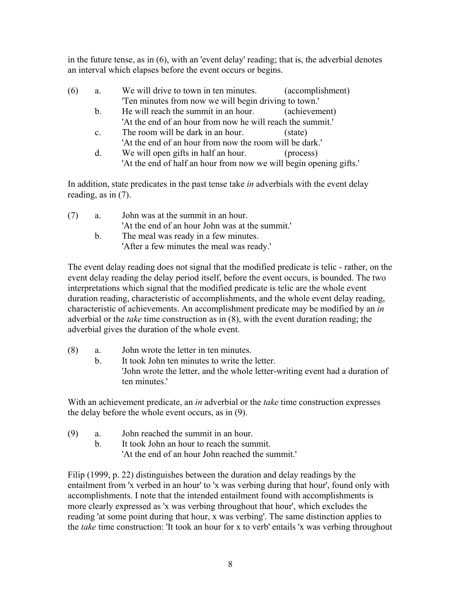in the future tense, as in (6), with an 'event delay' reading; that is, the adverbial denotes an interval which elapses before the event occurs or begins.

- (6) a. We will drive to town in ten minutes. (accomplishment) 'Ten minutes from now we will begin driving to town.'
	- b. He will reach the summit in an hour. (achievement) 'At the end of an hour from now he will reach the summit.'
	- c. The room will be dark in an hour. (state) 'At the end of an hour from now the room will be dark.'
	- d. We will open gifts in half an hour. (process) 'At the end of half an hour from now we will begin opening gifts.'

In addition, state predicates in the past tense take *in* adverbials with the event delay reading, as in (7).

| (7) | a. | John was at the summit in an hour.              |  |
|-----|----|-------------------------------------------------|--|
|     |    | "At the end of an hour John was at the summit." |  |
|     |    | The meal was ready in a few minutes.            |  |

'After a few minutes the meal was ready.'

The event delay reading does not signal that the modified predicate is telic - rather, on the event delay reading the delay period itself, before the event occurs, is bounded. The two interpretations which signal that the modified predicate is telic are the whole event duration reading, characteristic of accomplishments, and the whole event delay reading, characteristic of achievements. An accomplishment predicate may be modified by an *in* adverbial or the *take* time construction as in (8), with the event duration reading; the adverbial gives the duration of the whole event.

(8) a. John wrote the letter in ten minutes. b. It took John ten minutes to write the letter. 'John wrote the letter, and the whole letter-writing event had a duration of ten minutes.'

With an achievement predicate, an *in* adverbial or the *take* time construction expresses the delay before the whole event occurs, as in (9).

- (9) a. John reached the summit in an hour.
	- b. It took John an hour to reach the summit. 'At the end of an hour John reached the summit.'

Filip (1999, p. 22) distinguishes between the duration and delay readings by the entailment from 'x verbed in an hour' to 'x was verbing during that hour', found only with accomplishments. I note that the intended entailment found with accomplishments is more clearly expressed as 'x was verbing throughout that hour', which excludes the reading 'at some point during that hour, x was verbing'. The same distinction applies to the *take* time construction: 'It took an hour for x to verb' entails 'x was verbing throughout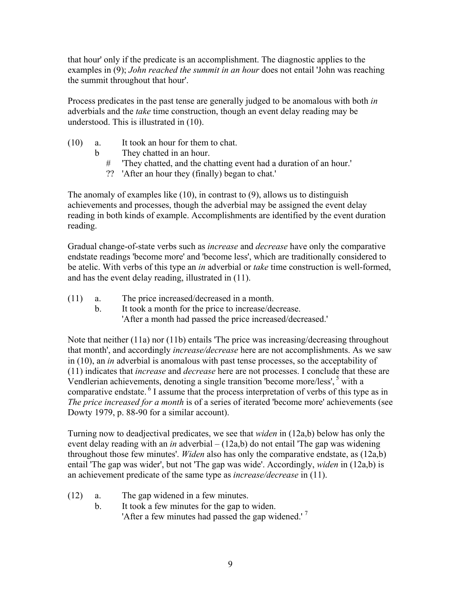that hour' only if the predicate is an accomplishment. The diagnostic applies to the examples in (9); *John reached the summit in an hour* does not entail 'John was reaching the summit throughout that hour'.

Process predicates in the past tense are generally judged to be anomalous with both *in* adverbials and the *take* time construction, though an event delay reading may be understood. This is illustrated in (10).

- (10) a. It took an hour for them to chat.
	- b They chatted in an hour.<br># They chatted, and the ch
		- 'They chatted, and the chatting event had a duration of an hour.'
		- ?? 'After an hour they (finally) began to chat.'

The anomaly of examples like (10), in contrast to (9), allows us to distinguish achievements and processes, though the adverbial may be assigned the event delay reading in both kinds of example. Accomplishments are identified by the event duration reading.

Gradual change-of-state verbs such as *increase* and *decrease* have only the comparative endstate readings 'become more' and 'become less', which are traditionally considered to be atelic. With verbs of this type an *in* adverbial or *take* time construction is well-formed, and has the event delay reading, illustrated in (11).

- (11) a. The price increased/decreased in a month.
	- b. It took a month for the price to increase/decrease. 'After a month had passed the price increased/decreased.'

Note that neither (11a) nor (11b) entails 'The price was increasing/decreasing throughout that month', and accordingly *increase/decrease* here are not accomplishments. As we saw in (10), an *in* adverbial is anomalous with past tense processes, so the acceptability of (11) indicates that *increase* and *decrease* here are not processes. I conclude that these are Vendlerian achievements, denoting a single transition 'become more/less',  $<sup>5</sup>$  with a</sup> comparative endstate. 6 I assume that the process interpretation of verbs of this type as in *The price increased for a month* is of a series of iterated 'become more' achievements (see Dowty 1979, p. 88-90 for a similar account).

Turning now to deadjectival predicates, we see that *widen* in (12a,b) below has only the event delay reading with an *in* adverbial – (12a,b) do not entail 'The gap was widening throughout those few minutes'. *Widen* also has only the comparative endstate, as (12a,b) entail 'The gap was wider', but not 'The gap was wide'. Accordingly, *widen* in (12a,b) is an achievement predicate of the same type as *increase/decrease* in (11).

- (12) a. The gap widened in a few minutes.
	- b. It took a few minutes for the gap to widen. 'After a few minutes had passed the gap widened.' <sup>7</sup>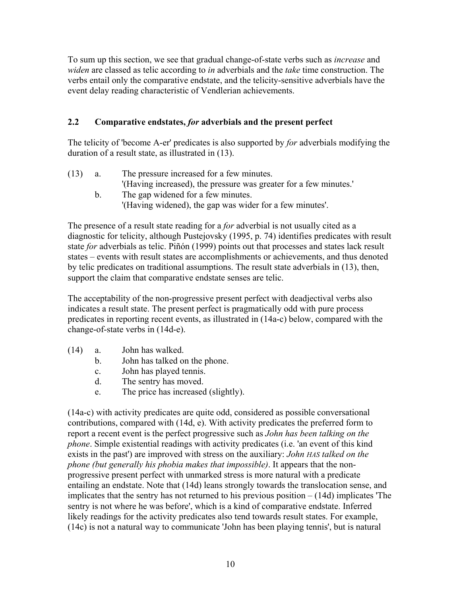To sum up this section, we see that gradual change-of-state verbs such as *increase* and *widen* are classed as telic according to *in* adverbials and the *take* time construction. The verbs entail only the comparative endstate, and the telicity-sensitive adverbials have the event delay reading characteristic of Vendlerian achievements.

## **2.2 Comparative endstates,** *for* **adverbials and the present perfect**

The telicity of 'become A-er' predicates is also supported by *for* adverbials modifying the duration of a result state, as illustrated in (13).

- (13) a. The pressure increased for a few minutes.
	- '(Having increased), the pressure was greater for a few minutes.'
	- b. The gap widened for a few minutes.
		- '(Having widened), the gap was wider for a few minutes'.

The presence of a result state reading for a *for* adverbial is not usually cited as a diagnostic for telicity, although Pustejovsky (1995, p. 74) identifies predicates with result state *for* adverbials as telic. Piñón (1999) points out that processes and states lack result states – events with result states are accomplishments or achievements, and thus denoted by telic predicates on traditional assumptions. The result state adverbials in (13), then, support the claim that comparative endstate senses are telic.

The acceptability of the non-progressive present perfect with deadjectival verbs also indicates a result state. The present perfect is pragmatically odd with pure process predicates in reporting recent events, as illustrated in (14a-c) below, compared with the change-of-state verbs in (14d-e).

- (14) a. John has walked.
	- b. John has talked on the phone.
	- c. John has played tennis.
	- d. The sentry has moved.
	- e. The price has increased (slightly).

(14a-c) with activity predicates are quite odd, considered as possible conversational contributions, compared with (14d, e). With activity predicates the preferred form to report a recent event is the perfect progressive such as *John has been talking on the phone*. Simple existential readings with activity predicates (i.e. 'an event of this kind exists in the past') are improved with stress on the auxiliary: *John HAS talked on the phone (but generally his phobia makes that impossible)*. It appears that the nonprogressive present perfect with unmarked stress is more natural with a predicate entailing an endstate. Note that (14d) leans strongly towards the translocation sense, and implicates that the sentry has not returned to his previous position – (14d) implicates 'The sentry is not where he was before', which is a kind of comparative endstate. Inferred likely readings for the activity predicates also tend towards result states. For example, (14c) is not a natural way to communicate 'John has been playing tennis', but is natural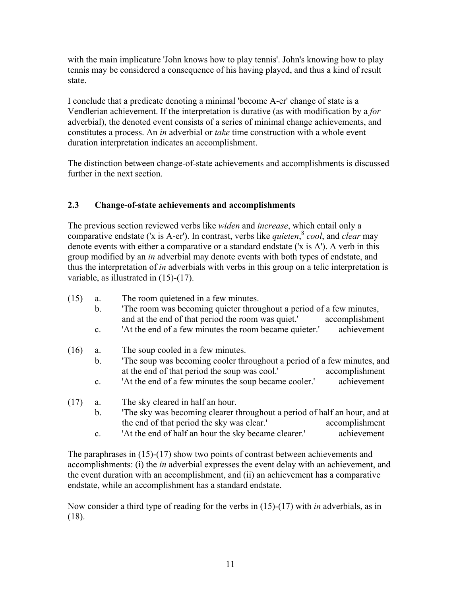with the main implicature 'John knows how to play tennis'. John's knowing how to play tennis may be considered a consequence of his having played, and thus a kind of result state.

I conclude that a predicate denoting a minimal 'become A-er' change of state is a Vendlerian achievement. If the interpretation is durative (as with modification by a *for* adverbial), the denoted event consists of a series of minimal change achievements, and constitutes a process. An *in* adverbial or *take* time construction with a whole event duration interpretation indicates an accomplishment.

The distinction between change-of-state achievements and accomplishments is discussed further in the next section.

# **2.3 Change-of-state achievements and accomplishments**

The previous section reviewed verbs like *widen* and *increase*, which entail only a comparative endstate ('x is A-er'). In contrast, verbs like *quieten*, <sup>8</sup> *cool*, and *clear* may denote events with either a comparative or a standard endstate ('x is A'). A verb in this group modified by an *in* adverbial may denote events with both types of endstate, and thus the interpretation of *in* adverbials with verbs in this group on a telic interpretation is variable, as illustrated in (15)-(17).

- (15) a. The room quietened in a few minutes. b. 'The room was becoming quieter throughout a period of a few minutes, and at the end of that period the room was quiet.' accomplishment c. 'At the end of a few minutes the room became quieter.' achievement
- (16) a. The soup cooled in a few minutes.
	- b. 'The soup was becoming cooler throughout a period of a few minutes, and at the end of that period the soup was cool.' accomplishment
	- c. 'At the end of a few minutes the soup became cooler.' achievement
- (17) a. The sky cleared in half an hour.
	- b. 'The sky was becoming clearer throughout a period of half an hour, and at the end of that period the sky was clear.' accomplishment
	- c. 'At the end of half an hour the sky became clearer.' achievement

The paraphrases in (15)-(17) show two points of contrast between achievements and accomplishments: (i) the *in* adverbial expresses the event delay with an achievement, and the event duration with an accomplishment, and (ii) an achievement has a comparative endstate, while an accomplishment has a standard endstate.

Now consider a third type of reading for the verbs in (15)-(17) with *in* adverbials, as in (18).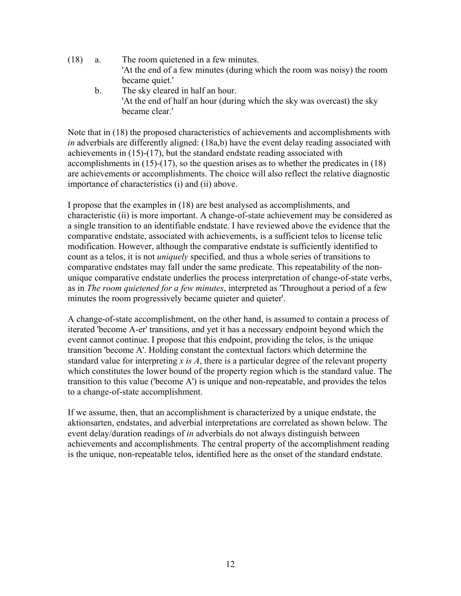- (18) a. The room quietened in a few minutes. 'At the end of a few minutes (during which the room was noisy) the room became quiet.'
	- b. The sky cleared in half an hour. 'At the end of half an hour (during which the sky was overcast) the sky became clear.'

Note that in (18) the proposed characteristics of achievements and accomplishments with *in* adverbials are differently aligned: (18a,b) have the event delay reading associated with achievements in (15)-(17), but the standard endstate reading associated with accomplishments in (15)-(17), so the question arises as to whether the predicates in (18) are achievements or accomplishments. The choice will also reflect the relative diagnostic importance of characteristics (i) and (ii) above.

I propose that the examples in (18) are best analysed as accomplishments, and characteristic (ii) is more important. A change-of-state achievement may be considered as a single transition to an identifiable endstate. I have reviewed above the evidence that the comparative endstate, associated with achievements, is a sufficient telos to license telic modification. However, although the comparative endstate is sufficiently identified to count as a telos, it is not *uniquely* specified, and thus a whole series of transitions to comparative endstates may fall under the same predicate. This repeatability of the nonunique comparative endstate underlies the process interpretation of change-of-state verbs, as in *The room quietened for a few minutes*, interpreted as 'Throughout a period of a few minutes the room progressively became quieter and quieter'.

A change-of-state accomplishment, on the other hand, is assumed to contain a process of iterated 'become A-er' transitions, and yet it has a necessary endpoint beyond which the event cannot continue. I propose that this endpoint, providing the telos, is the unique transition 'become A'. Holding constant the contextual factors which determine the standard value for interpreting *x is A*, there is a particular degree of the relevant property which constitutes the lower bound of the property region which is the standard value. The transition to this value ('become A') is unique and non-repeatable, and provides the telos to a change-of-state accomplishment.

If we assume, then, that an accomplishment is characterized by a unique endstate, the aktionsarten, endstates, and adverbial interpretations are correlated as shown below. The event delay/duration readings of *in* adverbials do not always distinguish between achievements and accomplishments. The central property of the accomplishment reading is the unique, non-repeatable telos, identified here as the onset of the standard endstate.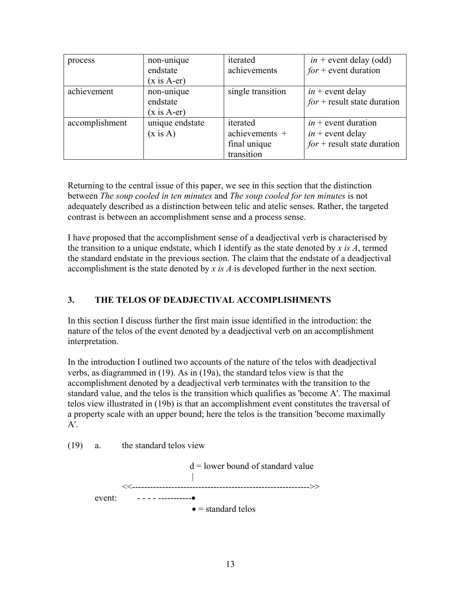| process        | non-unique<br>endstate<br>$(x is A-er)$ | iterated<br>achievements                                 | $in +$ event delay (odd)<br>$for + event duration$                           |
|----------------|-----------------------------------------|----------------------------------------------------------|------------------------------------------------------------------------------|
| achievement    | non-unique<br>endstate<br>$(x is A-er)$ | single transition                                        | $in +$ event delay<br>$for$ + result state duration                          |
| accomplishment | unique endstate<br>$(x \text{ is } A)$  | iterated<br>achievements +<br>final unique<br>transition | $in +$ event duration<br>$in +$ event delay<br>$for$ + result state duration |

Returning to the central issue of this paper, we see in this section that the distinction between *The soup cooled in ten minutes* and *The soup cooled for ten minutes* is not adequately described as a distinction between telic and atelic senses. Rather, the targeted contrast is between an accomplishment sense and a process sense.

I have proposed that the accomplishment sense of a deadjectival verb is characterised by the transition to a unique endstate, which I identify as the state denoted by *x is A*, termed the standard endstate in the previous section. The claim that the endstate of a deadjectival accomplishment is the state denoted by *x is A* is developed further in the next section.

# **3. THE TELOS OF DEADJECTIVAL ACCOMPLISHMENTS**

In this section I discuss further the first main issue identified in the introduction: the nature of the telos of the event denoted by a deadjectival verb on an accomplishment interpretation.

In the introduction I outlined two accounts of the nature of the telos with deadjectival verbs, as diagrammed in (19). As in (19a), the standard telos view is that the accomplishment denoted by a deadjectival verb terminates with the transition to the standard value, and the telos is the transition which qualifies as 'become A'. The maximal telos view illustrated in (19b) is that an accomplishment event constitutes the traversal of a property scale with an upper bound; here the telos is the transition 'become maximally  $A'$ .

(19) a. the standard telos view

 $d =$  lower bound of standard value | <<----------------------------------------------------------->> event: - - - - -----------•  $\bullet$  = standard telos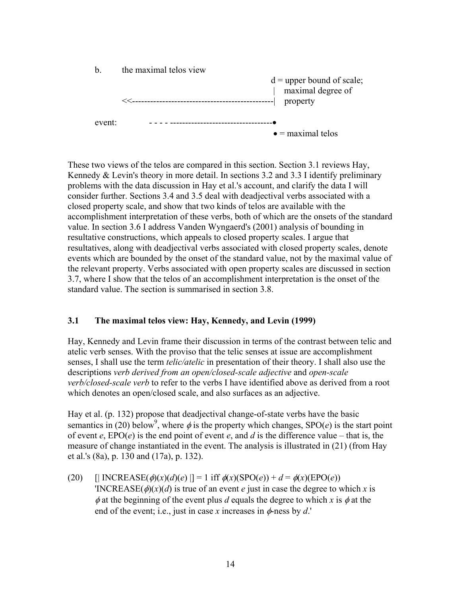| $b_{-}$ | the maximal telos view                                                                                                           |
|---------|----------------------------------------------------------------------------------------------------------------------------------|
|         | $d =$ upper bound of scale;<br>maximal degree of<br>property<br>-----------------------------------<br><< <sub>-----------</sub> |
| event:  | $\bullet$ = maximal telos                                                                                                        |

These two views of the telos are compared in this section. Section 3.1 reviews Hay, Kennedy & Levin's theory in more detail. In sections 3.2 and 3.3 I identify preliminary problems with the data discussion in Hay et al.'s account, and clarify the data I will consider further. Sections 3.4 and 3.5 deal with deadjectival verbs associated with a closed property scale, and show that two kinds of telos are available with the accomplishment interpretation of these verbs, both of which are the onsets of the standard value. In section 3.6 I address Vanden Wyngaerd's (2001) analysis of bounding in resultative constructions, which appeals to closed property scales. I argue that resultatives, along with deadjectival verbs associated with closed property scales, denote events which are bounded by the onset of the standard value, not by the maximal value of the relevant property. Verbs associated with open property scales are discussed in section 3.7, where I show that the telos of an accomplishment interpretation is the onset of the standard value. The section is summarised in section 3.8.

#### **3.1 The maximal telos view: Hay, Kennedy, and Levin (1999)**

Hay, Kennedy and Levin frame their discussion in terms of the contrast between telic and atelic verb senses. With the proviso that the telic senses at issue are accomplishment senses, I shall use the term *telic/atelic* in presentation of their theory. I shall also use the descriptions *verb derived from an open/closed-scale adjective* and *open-scale verb/closed-scale verb* to refer to the verbs I have identified above as derived from a root which denotes an open/closed scale, and also surfaces as an adjective.

Hay et al. (p. 132) propose that deadjectival change-of-state verbs have the basic semantics in (20) below<sup>9</sup>, where  $\phi$  is the property which changes, SPO(*e*) is the start point of event *e*, EPO(*e*) is the end point of event *e*, and *d* is the difference value – that is, the measure of change instantiated in the event. The analysis is illustrated in (21) (from Hay et al.'s (8a), p. 130 and (17a), p. 132).

(20)  $[|\text{INCREASE}(\phi)(x)(d)(e)|] = 1 \text{ iff } \phi(x)(\text{SPO}(e)) + d = \phi(x)(\text{EPO}(e))$ 'INCREASE( $\phi$ )(*x*)(*d*) is true of an event *e* just in case the degree to which *x* is  $\phi$  at the beginning of the event plus *d* equals the degree to which *x* is  $\phi$  at the end of the event; i.e., just in case *x* increases in  $\phi$ -ness by *d*.'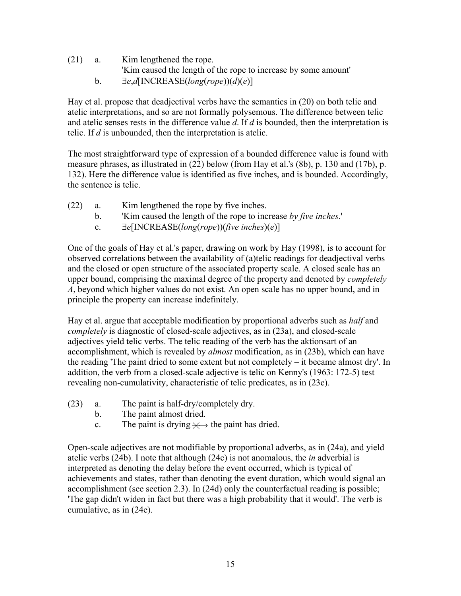- (21) a. Kim lengthened the rope.
	- 'Kim caused the length of the rope to increase by some amount'
	- b. ∃*e*,*d*[INCREASE(*long*(*rope*))(*d*)(*e*)]

Hay et al. propose that deadjectival verbs have the semantics in (20) on both telic and atelic interpretations, and so are not formally polysemous. The difference between telic and atelic senses rests in the difference value *d*. If *d* is bounded, then the interpretation is telic. If *d* is unbounded, then the interpretation is atelic.

The most straightforward type of expression of a bounded difference value is found with measure phrases, as illustrated in (22) below (from Hay et al.'s (8b), p. 130 and (17b), p. 132). Here the difference value is identified as five inches, and is bounded. Accordingly, the sentence is telic.

- (22) a. Kim lengthened the rope by five inches.
	- b. 'Kim caused the length of the rope to increase *by five inches*.'
	- c. ∃*e*[INCREASE(*long*(*rope*))(*five inches*)(*e*)]

One of the goals of Hay et al.'s paper, drawing on work by Hay (1998), is to account for observed correlations between the availability of (a)telic readings for deadjectival verbs and the closed or open structure of the associated property scale. A closed scale has an upper bound, comprising the maximal degree of the property and denoted by *completely A*, beyond which higher values do not exist. An open scale has no upper bound, and in principle the property can increase indefinitely.

Hay et al. argue that acceptable modification by proportional adverbs such as *half* and *completely* is diagnostic of closed-scale adjectives, as in (23a), and closed-scale adjectives yield telic verbs. The telic reading of the verb has the aktionsart of an accomplishment, which is revealed by *almost* modification, as in (23b), which can have the reading 'The paint dried to some extent but not completely – it became almost dry'. In addition, the verb from a closed-scale adjective is telic on Kenny's (1963: 172-5) test revealing non-cumulativity, characteristic of telic predicates, as in (23c).

- (23) a. The paint is half-dry/completely dry.
	- b. The paint almost dried.
	- c. The paint is drying  $\leftrightarrow$  the paint has dried.

Open-scale adjectives are not modifiable by proportional adverbs, as in (24a), and yield atelic verbs (24b). I note that although (24c) is not anomalous, the *in* adverbial is interpreted as denoting the delay before the event occurred, which is typical of achievements and states, rather than denoting the event duration, which would signal an accomplishment (see section 2.3). In (24d) only the counterfactual reading is possible; 'The gap didn't widen in fact but there was a high probability that it would'. The verb is cumulative, as in (24e).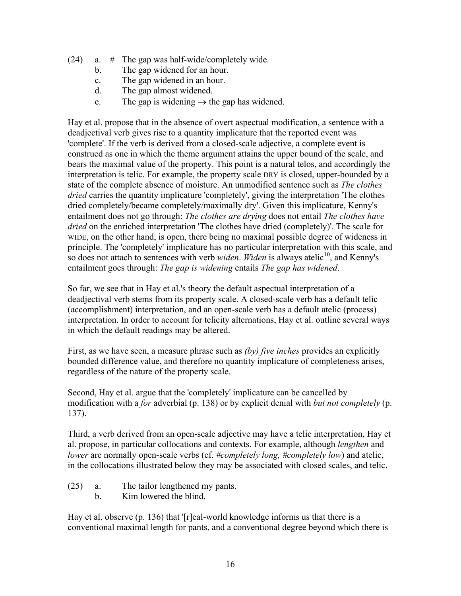- (24) a. # The gap was half-wide/completely wide.
	- b. The gap widened for an hour.
	- c. The gap widened in an hour.
	- d. The gap almost widened.
	- e. The gap is widening  $\rightarrow$  the gap has widened.

Hay et al. propose that in the absence of overt aspectual modification, a sentence with a deadjectival verb gives rise to a quantity implicature that the reported event was 'complete'. If the verb is derived from a closed-scale adjective, a complete event is construed as one in which the theme argument attains the upper bound of the scale, and bears the maximal value of the property. This point is a natural telos, and accordingly the interpretation is telic. For example, the property scale DRY is closed, upper-bounded by a state of the complete absence of moisture. An unmodified sentence such as *The clothes dried* carries the quantity implicature 'completely', giving the interpretation 'The clothes dried completely/became completely/maximally dry'. Given this implicature, Kenny's entailment does not go through: *The clothes are drying* does not entail *The clothes have dried* on the enriched interpretation 'The clothes have dried (completely)'. The scale for WIDE, on the other hand, is open, there being no maximal possible degree of wideness in principle. The 'completely' implicature has no particular interpretation with this scale, and so does not attach to sentences with verb *widen*. *Widen* is always atelic<sup>10</sup>, and Kenny's entailment goes through: *The gap is widening* entails *The gap has widened*.

So far, we see that in Hay et al.'s theory the default aspectual interpretation of a deadjectival verb stems from its property scale. A closed-scale verb has a default telic (accomplishment) interpretation, and an open-scale verb has a default atelic (process) interpretation. In order to account for telicity alternations, Hay et al. outline several ways in which the default readings may be altered.

First, as we have seen, a measure phrase such as *(by) five inches* provides an explicitly bounded difference value, and therefore no quantity implicature of completeness arises, regardless of the nature of the property scale.

Second, Hay et al. argue that the 'completely' implicature can be cancelled by modification with a *for* adverbial (p. 138) or by explicit denial with *but not completely* (p. 137).

Third, a verb derived from an open-scale adjective may have a telic interpretation, Hay et al. propose, in particular collocations and contexts. For example, although *lengthen* and *lower* are normally open-scale verbs (cf. *#completely long, #completely low*) and atelic, in the collocations illustrated below they may be associated with closed scales, and telic.

- (25) a. The tailor lengthened my pants.
	- b. Kim lowered the blind.

Hay et al. observe (p. 136) that '[r]eal-world knowledge informs us that there is a conventional maximal length for pants, and a conventional degree beyond which there is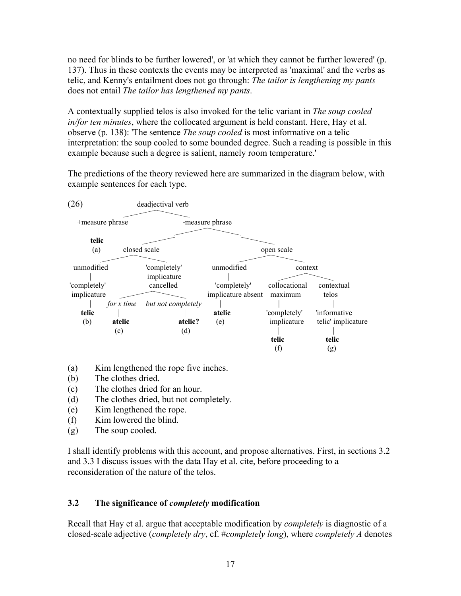no need for blinds to be further lowered', or 'at which they cannot be further lowered' (p. 137). Thus in these contexts the events may be interpreted as 'maximal' and the verbs as telic, and Kenny's entailment does not go through: *The tailor is lengthening my pants* does not entail *The tailor has lengthened my pants*.

A contextually supplied telos is also invoked for the telic variant in *The soup cooled in/for ten minutes*, where the collocated argument is held constant. Here, Hay et al. observe (p. 138): 'The sentence *The soup cooled* is most informative on a telic interpretation: the soup cooled to some bounded degree. Such a reading is possible in this example because such a degree is salient, namely room temperature.'

The predictions of the theory reviewed here are summarized in the diagram below, with example sentences for each type.



- (a) Kim lengthened the rope five inches.
- (b) The clothes dried.
- (c) The clothes dried for an hour.
- (d) The clothes dried, but not completely.
- (e) Kim lengthened the rope.
- (f) Kim lowered the blind.
- (g) The soup cooled.

I shall identify problems with this account, and propose alternatives. First, in sections 3.2 and 3.3 I discuss issues with the data Hay et al. cite, before proceeding to a reconsideration of the nature of the telos.

#### **3.2 The significance of** *completely* **modification**

Recall that Hay et al. argue that acceptable modification by *completely* is diagnostic of a closed-scale adjective (*completely dry*, cf. #*completely long*), where *completely A* denotes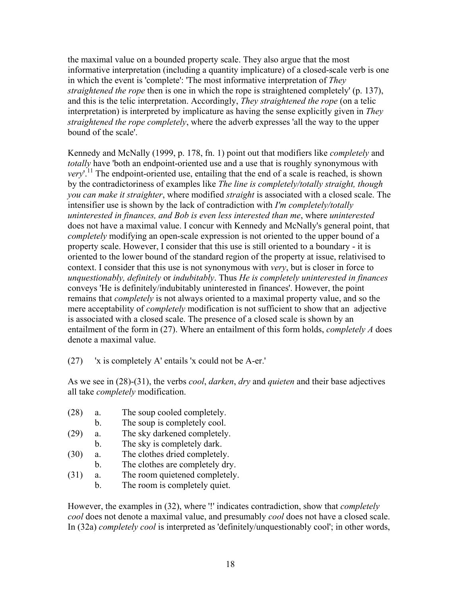the maximal value on a bounded property scale. They also argue that the most informative interpretation (including a quantity implicature) of a closed-scale verb is one in which the event is 'complete': 'The most informative interpretation of *They straightened the rope* then is one in which the rope is straightened completely' (p. 137), and this is the telic interpretation. Accordingly, *They straightened the rope* (on a telic interpretation) is interpreted by implicature as having the sense explicitly given in *They straightened the rope completely*, where the adverb expresses 'all the way to the upper bound of the scale'.

Kennedy and McNally (1999, p. 178, fn. 1) point out that modifiers like *completely* and *totally* have 'both an endpoint-oriented use and a use that is roughly synonymous with *very*'.<sup>11</sup> The endpoint-oriented use, entailing that the end of a scale is reached, is shown by the contradictoriness of examples like *The line is completely/totally straight, though you can make it straighter*, where modified *straight* is associated with a closed scale. The intensifier use is shown by the lack of contradiction with *I'm completely/totally uninterested in finances, and Bob is even less interested than me*, where *uninterested* does not have a maximal value. I concur with Kennedy and McNally's general point, that *completely* modifying an open-scale expression is not oriented to the upper bound of a property scale. However, I consider that this use is still oriented to a boundary - it is oriented to the lower bound of the standard region of the property at issue, relativised to context. I consider that this use is not synonymous with *very*, but is closer in force to *unquestionably, definitely* or *indubitably*. Thus *He is completely uninterested in finances* conveys 'He is definitely/indubitably uninterested in finances'. However, the point remains that *completely* is not always oriented to a maximal property value, and so the mere acceptability of *completely* modification is not sufficient to show that an adjective is associated with a closed scale. The presence of a closed scale is shown by an entailment of the form in (27). Where an entailment of this form holds, *completely A* does denote a maximal value.

(27) 'x is completely A' entails 'x could not be A-er.'

As we see in (28)-(31), the verbs *cool*, *darken*, *dry* and *quieten* and their base adjectives all take *completely* modification.

- (28) a. The soup cooled completely.
	- b. The soup is completely cool.
- (29) a. The sky darkened completely.
- b. The sky is completely dark.
- (30) a. The clothes dried completely.
	- b. The clothes are completely dry.
- (31) a. The room quietened completely.
	- b. The room is completely quiet.

However, the examples in (32), where '!' indicates contradiction, show that *completely cool* does not denote a maximal value, and presumably *cool* does not have a closed scale. In (32a) *completely cool* is interpreted as 'definitely/unquestionably cool'; in other words,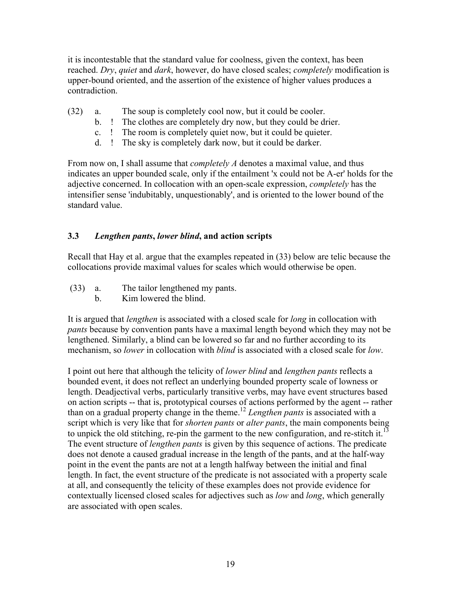it is incontestable that the standard value for coolness, given the context, has been reached. *Dry*, *quiet* and *dark*, however, do have closed scales; *completely* modification is upper-bound oriented, and the assertion of the existence of higher values produces a contradiction.

- (32) a. The soup is completely cool now, but it could be cooler.
	- b. ! The clothes are completely dry now, but they could be drier.
	- c. ! The room is completely quiet now, but it could be quieter.
	- d. ! The sky is completely dark now, but it could be darker.

From now on, I shall assume that *completely A* denotes a maximal value, and thus indicates an upper bounded scale, only if the entailment 'x could not be A-er' holds for the adjective concerned. In collocation with an open-scale expression, *completely* has the intensifier sense 'indubitably, unquestionably', and is oriented to the lower bound of the standard value.

### **3.3** *Lengthen pants***,** *lower blind***, and action scripts**

Recall that Hay et al. argue that the examples repeated in (33) below are telic because the collocations provide maximal values for scales which would otherwise be open.

- (33) a. The tailor lengthened my pants.
	- b. Kim lowered the blind.

It is argued that *lengthen* is associated with a closed scale for *long* in collocation with *pants* because by convention pants have a maximal length beyond which they may not be lengthened. Similarly, a blind can be lowered so far and no further according to its mechanism, so *lower* in collocation with *blind* is associated with a closed scale for *low*.

I point out here that although the telicity of *lower blind* and *lengthen pants* reflects a bounded event, it does not reflect an underlying bounded property scale of lowness or length. Deadjectival verbs, particularly transitive verbs, may have event structures based on action scripts -- that is, prototypical courses of actions performed by the agent -- rather than on a gradual property change in the theme.12 *Lengthen pants* is associated with a script which is very like that for *shorten pants* or *alter pants*, the main components being to unpick the old stitching, re-pin the garment to the new configuration, and re-stitch it.<sup>13</sup> The event structure of *lengthen pants* is given by this sequence of actions. The predicate does not denote a caused gradual increase in the length of the pants, and at the half-way point in the event the pants are not at a length halfway between the initial and final length. In fact, the event structure of the predicate is not associated with a property scale at all, and consequently the telicity of these examples does not provide evidence for contextually licensed closed scales for adjectives such as *low* and *long*, which generally are associated with open scales.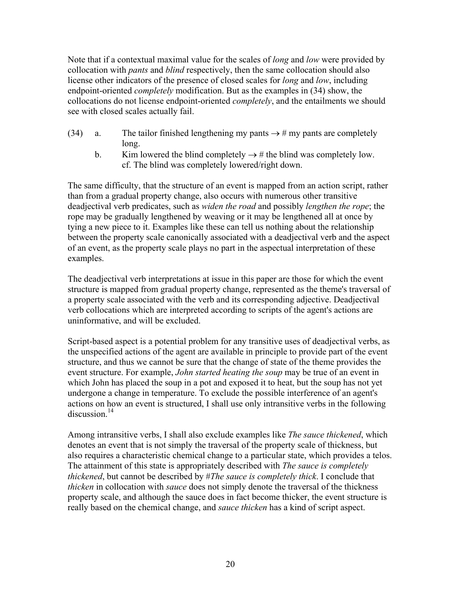Note that if a contextual maximal value for the scales of *long* and *low* were provided by collocation with *pants* and *blind* respectively, then the same collocation should also license other indicators of the presence of closed scales for *long* and *low*, including endpoint-oriented *completely* modification. But as the examples in (34) show, the collocations do not license endpoint-oriented *completely*, and the entailments we should see with closed scales actually fail.

- (34) a. The tailor finished lengthening my pants  $\rightarrow$  # my pants are completely long.
	- b. Kim lowered the blind completely  $\rightarrow$  # the blind was completely low. cf. The blind was completely lowered/right down.

The same difficulty, that the structure of an event is mapped from an action script, rather than from a gradual property change, also occurs with numerous other transitive deadjectival verb predicates, such as *widen the road* and possibly *lengthen the rope*; the rope may be gradually lengthened by weaving or it may be lengthened all at once by tying a new piece to it. Examples like these can tell us nothing about the relationship between the property scale canonically associated with a deadjectival verb and the aspect of an event, as the property scale plays no part in the aspectual interpretation of these examples.

The deadjectival verb interpretations at issue in this paper are those for which the event structure is mapped from gradual property change, represented as the theme's traversal of a property scale associated with the verb and its corresponding adjective. Deadjectival verb collocations which are interpreted according to scripts of the agent's actions are uninformative, and will be excluded.

Script-based aspect is a potential problem for any transitive uses of deadjectival verbs, as the unspecified actions of the agent are available in principle to provide part of the event structure, and thus we cannot be sure that the change of state of the theme provides the event structure. For example, *John started heating the soup* may be true of an event in which John has placed the soup in a pot and exposed it to heat, but the soup has not yet undergone a change in temperature. To exclude the possible interference of an agent's actions on how an event is structured, I shall use only intransitive verbs in the following discussion. $14$ 

Among intransitive verbs, I shall also exclude examples like *The sauce thickened*, which denotes an event that is not simply the traversal of the property scale of thickness, but also requires a characteristic chemical change to a particular state, which provides a telos. The attainment of this state is appropriately described with *The sauce is completely thickened*, but cannot be described by #*The sauce is completely thick*. I conclude that *thicken* in collocation with *sauce* does not simply denote the traversal of the thickness property scale, and although the sauce does in fact become thicker, the event structure is really based on the chemical change, and *sauce thicken* has a kind of script aspect.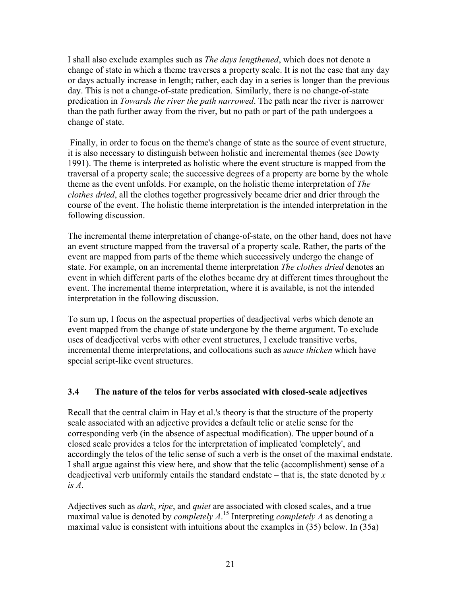I shall also exclude examples such as *The days lengthened*, which does not denote a change of state in which a theme traverses a property scale. It is not the case that any day or days actually increase in length; rather, each day in a series is longer than the previous day. This is not a change-of-state predication. Similarly, there is no change-of-state predication in *Towards the river the path narrowed*. The path near the river is narrower than the path further away from the river, but no path or part of the path undergoes a change of state.

 Finally, in order to focus on the theme's change of state as the source of event structure, it is also necessary to distinguish between holistic and incremental themes (see Dowty 1991). The theme is interpreted as holistic where the event structure is mapped from the traversal of a property scale; the successive degrees of a property are borne by the whole theme as the event unfolds. For example, on the holistic theme interpretation of *The clothes dried*, all the clothes together progressively became drier and drier through the course of the event. The holistic theme interpretation is the intended interpretation in the following discussion.

The incremental theme interpretation of change-of-state, on the other hand, does not have an event structure mapped from the traversal of a property scale. Rather, the parts of the event are mapped from parts of the theme which successively undergo the change of state. For example, on an incremental theme interpretation *The clothes dried* denotes an event in which different parts of the clothes became dry at different times throughout the event. The incremental theme interpretation, where it is available, is not the intended interpretation in the following discussion.

To sum up, I focus on the aspectual properties of deadjectival verbs which denote an event mapped from the change of state undergone by the theme argument. To exclude uses of deadjectival verbs with other event structures, I exclude transitive verbs, incremental theme interpretations, and collocations such as *sauce thicken* which have special script-like event structures.

#### **3.4 The nature of the telos for verbs associated with closed-scale adjectives**

Recall that the central claim in Hay et al.'s theory is that the structure of the property scale associated with an adjective provides a default telic or atelic sense for the corresponding verb (in the absence of aspectual modification). The upper bound of a closed scale provides a telos for the interpretation of implicated 'completely', and accordingly the telos of the telic sense of such a verb is the onset of the maximal endstate. I shall argue against this view here, and show that the telic (accomplishment) sense of a deadjectival verb uniformly entails the standard endstate – that is, the state denoted by *x is A*.

Adjectives such as *dark*, *ripe*, and *quiet* are associated with closed scales, and a true maximal value is denoted by *completely A*. 15 Interpreting *completely A* as denoting a maximal value is consistent with intuitions about the examples in (35) below. In (35a)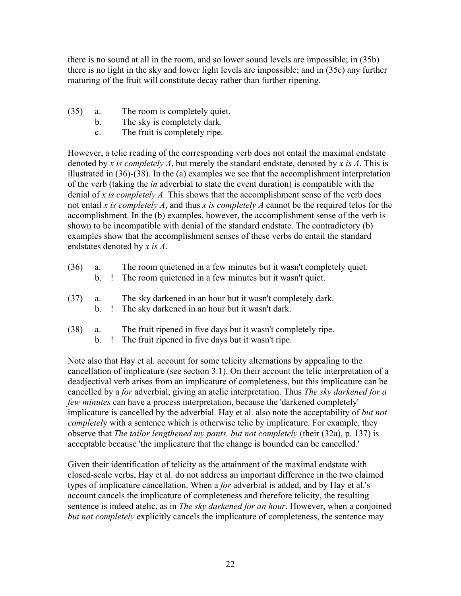there is no sound at all in the room, and so lower sound levels are impossible; in (35b) there is no light in the sky and lower light levels are impossible; and in (35c) any further maturing of the fruit will constitute decay rather than further ripening.

- (35) a. The room is completely quiet.
	- b. The sky is completely dark.
	- c. The fruit is completely ripe.

However, a telic reading of the corresponding verb does not entail the maximal endstate denoted by *x is completely A*, but merely the standard endstate, denoted by *x is A*. This is illustrated in (36)-(38). In the (a) examples we see that the accomplishment interpretation of the verb (taking the *in* adverbial to state the event duration) is compatible with the denial of *x is completely A.* This shows that the accomplishment sense of the verb does not entail *x is completely A*, and thus *x is completely A* cannot be the required telos for the accomplishment. In the (b) examples, however, the accomplishment sense of the verb is shown to be incompatible with denial of the standard endstate. The contradictory (b) examples show that the accomplishment senses of these verbs do entail the standard endstates denoted by *x is A*.

- (36) a. The room quietened in a few minutes but it wasn't completely quiet. b. ! The room quietened in a few minutes but it wasn't quiet.
- (37) a. The sky darkened in an hour but it wasn't completely dark.
	- b. ! The sky darkened in an hour but it wasn't dark.
- (38) a. The fruit ripened in five days but it wasn't completely ripe.
	- b. ! The fruit ripened in five days but it wasn't ripe.

Note also that Hay et al. account for some telicity alternations by appealing to the cancellation of implicature (see section 3.1). On their account the telic interpretation of a deadjectival verb arises from an implicature of completeness, but this implicature can be cancelled by a *for* adverbial, giving an atelic interpretation. Thus *The sky darkened for a few minutes* can have a process interpretation, because the 'darkened completely' implicature is cancelled by the adverbial. Hay et al. also note the acceptability of *but not completel*y with a sentence which is otherwise telic by implicature. For example, they observe that *The tailor lengthened my pants, but not completely* (their (32a), p. 137) is acceptable because 'the implicature that the change is bounded can be cancelled.'

Given their identification of telicity as the attainment of the maximal endstate with closed-scale verbs, Hay et al. do not address an important difference in the two claimed types of implicature cancellation. When a *for* adverbial is added, and by Hay et al.'s account cancels the implicature of completeness and therefore telicity, the resulting sentence is indeed atelic, as in *The sky darkened for an hour*. However, when a conjoined *but not completely* explicitly cancels the implicature of completeness, the sentence may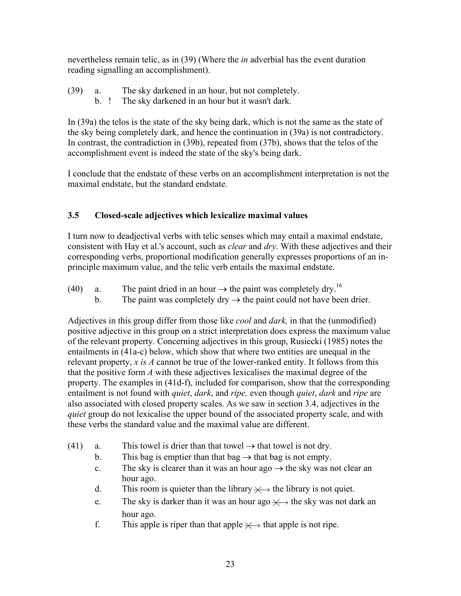nevertheless remain telic, as in (39) (Where the *in* adverbial has the event duration reading signalling an accomplishment).

- (39) a. The sky darkened in an hour, but not completely.
	- b. ! The sky darkened in an hour but it wasn't dark.

In (39a) the telos is the state of the sky being dark, which is not the same as the state of the sky being completely dark, and hence the continuation in (39a) is not contradictory. In contrast, the contradiction in (39b), repeated from (37b), shows that the telos of the accomplishment event is indeed the state of the sky's being dark.

I conclude that the endstate of these verbs on an accomplishment interpretation is not the maximal endstate, but the standard endstate.

# **3.5 Closed-scale adjectives which lexicalize maximal values**

I turn now to deadjectival verbs with telic senses which may entail a maximal endstate, consistent with Hay et al.'s account, such as *clear* and *dry*. With these adjectives and their corresponding verbs, proportional modification generally expresses proportions of an inprinciple maximum value, and the telic verb entails the maximal endstate.

- (40) a. The paint dried in an hour  $\rightarrow$  the paint was completely dry.<sup>16</sup>
	- b. The paint was completely dry  $\rightarrow$  the paint could not have been drier.

Adjectives in this group differ from those like *cool* and *dark,* in that the (unmodified) positive adjective in this group on a strict interpretation does express the maximum value of the relevant property. Concerning adjectives in this group, Rusiecki (1985) notes the entailments in (41a-c) below, which show that where two entities are unequal in the relevant property, *x is A* cannot be true of the lower-ranked entity. It follows from this that the positive form *A* with these adjectives lexicalises the maximal degree of the property. The examples in (41d-f), included for comparison, show that the corresponding entailment is not found with *quiet*, *dark*, and *ripe,* even though *quiet*, *dark* and *ripe* are also associated with closed property scales. As we saw in section 3.4, adjectives in the *quiet* group do not lexicalise the upper bound of the associated property scale, and with these verbs the standard value and the maximal value are different.

- (41) a. This towel is drier than that towel  $\rightarrow$  that towel is not dry.
	- b. This bag is emptier than that bag  $\rightarrow$  that bag is not empty.
	- c. The sky is clearer than it was an hour ago  $\rightarrow$  the sky was not clear an hour ago.
	- d. This room is quieter than the library  $\leftrightarrow$  the library is not quiet.
	- e. The sky is darker than it was an hour ago  $\leftrightarrow$  the sky was not dark an hour ago.
	- f. This apple is riper than that apple  $\leftrightarrow$  that apple is not ripe.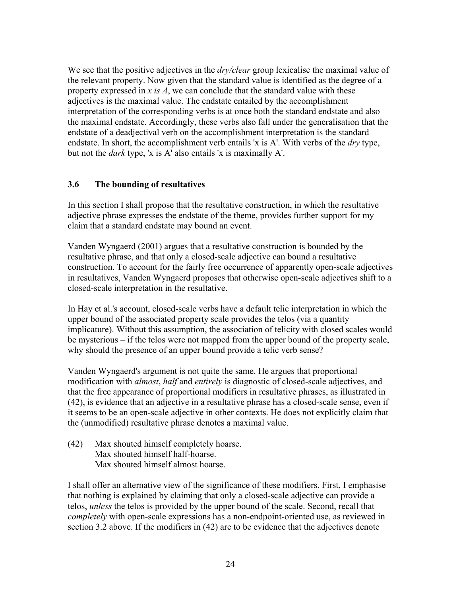We see that the positive adjectives in the *dry/clear* group lexicalise the maximal value of the relevant property. Now given that the standard value is identified as the degree of a property expressed in *x is A*, we can conclude that the standard value with these adjectives is the maximal value. The endstate entailed by the accomplishment interpretation of the corresponding verbs is at once both the standard endstate and also the maximal endstate. Accordingly, these verbs also fall under the generalisation that the endstate of a deadjectival verb on the accomplishment interpretation is the standard endstate. In short, the accomplishment verb entails 'x is A'. With verbs of the *dry* type, but not the *dark* type, 'x is A' also entails 'x is maximally A'.

### **3.6 The bounding of resultatives**

In this section I shall propose that the resultative construction, in which the resultative adjective phrase expresses the endstate of the theme, provides further support for my claim that a standard endstate may bound an event.

Vanden Wyngaerd (2001) argues that a resultative construction is bounded by the resultative phrase, and that only a closed-scale adjective can bound a resultative construction. To account for the fairly free occurrence of apparently open-scale adjectives in resultatives, Vanden Wyngaerd proposes that otherwise open-scale adjectives shift to a closed-scale interpretation in the resultative.

In Hay et al.'s account, closed-scale verbs have a default telic interpretation in which the upper bound of the associated property scale provides the telos (via a quantity implicature). Without this assumption, the association of telicity with closed scales would be mysterious – if the telos were not mapped from the upper bound of the property scale, why should the presence of an upper bound provide a telic verb sense?

Vanden Wyngaerd's argument is not quite the same. He argues that proportional modification with *almost*, *half* and *entirely* is diagnostic of closed-scale adjectives, and that the free appearance of proportional modifiers in resultative phrases, as illustrated in (42), is evidence that an adjective in a resultative phrase has a closed-scale sense, even if it seems to be an open-scale adjective in other contexts. He does not explicitly claim that the (unmodified) resultative phrase denotes a maximal value.

(42) Max shouted himself completely hoarse. Max shouted himself half-hoarse. Max shouted himself almost hoarse.

I shall offer an alternative view of the significance of these modifiers. First, I emphasise that nothing is explained by claiming that only a closed-scale adjective can provide a telos, *unless* the telos is provided by the upper bound of the scale. Second, recall that *completely* with open-scale expressions has a non-endpoint-oriented use, as reviewed in section 3.2 above. If the modifiers in (42) are to be evidence that the adjectives denote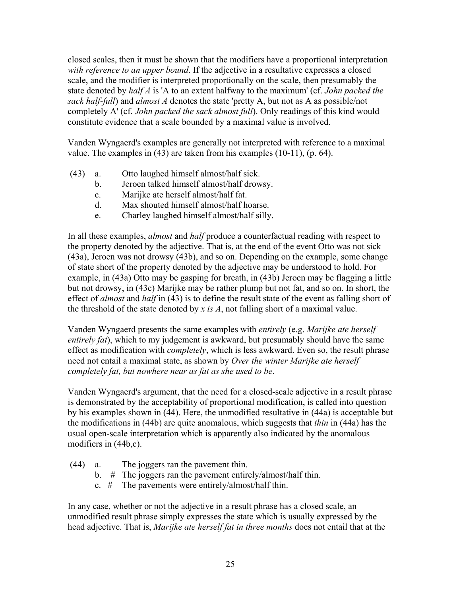closed scales, then it must be shown that the modifiers have a proportional interpretation *with reference to an upper bound*. If the adjective in a resultative expresses a closed scale, and the modifier is interpreted proportionally on the scale, then presumably the state denoted by *half A* is 'A to an extent halfway to the maximum' (cf. *John packed the sack half-full*) and *almost A* denotes the state 'pretty A, but not as A as possible/not completely A' (cf. *John packed the sack almost full*). Only readings of this kind would constitute evidence that a scale bounded by a maximal value is involved.

Vanden Wyngaerd's examples are generally not interpreted with reference to a maximal value. The examples in (43) are taken from his examples (10-11), (p. 64).

- (43) a. Otto laughed himself almost/half sick.
	- b. Jeroen talked himself almost/half drowsy.
	- c. Marijke ate herself almost/half fat.
	- d. Max shouted himself almost/half hoarse.
	- e. Charley laughed himself almost/half silly.

In all these examples, *almost* and *half* produce a counterfactual reading with respect to the property denoted by the adjective. That is, at the end of the event Otto was not sick (43a), Jeroen was not drowsy (43b), and so on. Depending on the example, some change of state short of the property denoted by the adjective may be understood to hold. For example, in (43a) Otto may be gasping for breath, in (43b) Jeroen may be flagging a little but not drowsy, in (43c) Marijke may be rather plump but not fat, and so on. In short, the effect of *almost* and *half* in (43) is to define the result state of the event as falling short of the threshold of the state denoted by *x is A*, not falling short of a maximal value.

Vanden Wyngaerd presents the same examples with *entirely* (e.g. *Marijke ate herself entirely fat*), which to my judgement is awkward, but presumably should have the same effect as modification with *completely*, which is less awkward. Even so, the result phrase need not entail a maximal state, as shown by *Over the winter Marijke ate herself completely fat, but nowhere near as fat as she used to be*.

Vanden Wyngaerd's argument, that the need for a closed-scale adjective in a result phrase is demonstrated by the acceptability of proportional modification, is called into question by his examples shown in (44). Here, the unmodified resultative in (44a) is acceptable but the modifications in (44b) are quite anomalous, which suggests that *thin* in (44a) has the usual open-scale interpretation which is apparently also indicated by the anomalous modifiers in (44b,c).

- (44) a. The joggers ran the pavement thin.
	- b. # The joggers ran the pavement entirely/almost/half thin.
	- c. # The pavements were entirely/almost/half thin.

In any case, whether or not the adjective in a result phrase has a closed scale, an unmodified result phrase simply expresses the state which is usually expressed by the head adjective. That is, *Marijke ate herself fat in three months* does not entail that at the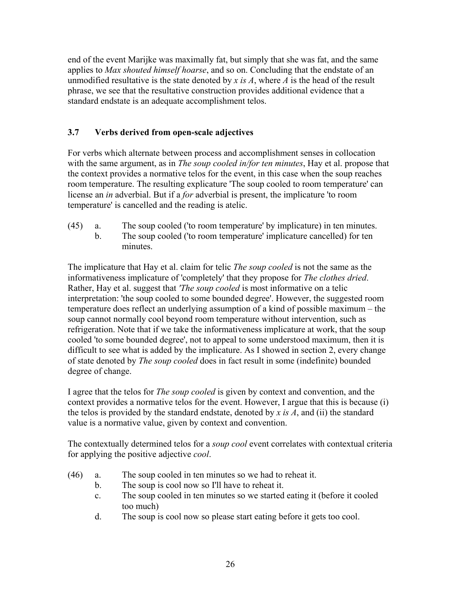end of the event Marijke was maximally fat, but simply that she was fat, and the same applies to *Max shouted himself hoarse*, and so on. Concluding that the endstate of an unmodified resultative is the state denoted by *x is A*, where *A* is the head of the result phrase, we see that the resultative construction provides additional evidence that a standard endstate is an adequate accomplishment telos.

### **3.7 Verbs derived from open-scale adjectives**

For verbs which alternate between process and accomplishment senses in collocation with the same argument, as in *The soup cooled in/for ten minutes*, Hay et al. propose that the context provides a normative telos for the event, in this case when the soup reaches room temperature. The resulting explicature 'The soup cooled to room temperature' can license an *in* adverbial. But if a *for* adverbial is present, the implicature 'to room temperature' is cancelled and the reading is atelic.

- (45) a. The soup cooled ('to room temperature' by implicature) in ten minutes.
	- b. The soup cooled ('to room temperature' implicature cancelled) for ten minutes.

The implicature that Hay et al. claim for telic *The soup cooled* is not the same as the informativeness implicature of 'completely' that they propose for *The clothes dried*. Rather, Hay et al. suggest that *'The soup cooled* is most informative on a telic interpretation: 'the soup cooled to some bounded degree'. However, the suggested room temperature does reflect an underlying assumption of a kind of possible maximum – the soup cannot normally cool beyond room temperature without intervention, such as refrigeration. Note that if we take the informativeness implicature at work, that the soup cooled 'to some bounded degree', not to appeal to some understood maximum, then it is difficult to see what is added by the implicature. As I showed in section 2, every change of state denoted by *The soup cooled* does in fact result in some (indefinite) bounded degree of change.

I agree that the telos for *The soup cooled* is given by context and convention, and the context provides a normative telos for the event. However, I argue that this is because (i) the telos is provided by the standard endstate, denoted by *x is A*, and (ii) the standard value is a normative value, given by context and convention.

The contextually determined telos for a *soup cool* event correlates with contextual criteria for applying the positive adjective *cool*.

- (46) a. The soup cooled in ten minutes so we had to reheat it.
	- b. The soup is cool now so I'll have to reheat it.
	- c. The soup cooled in ten minutes so we started eating it (before it cooled too much)
	- d. The soup is cool now so please start eating before it gets too cool.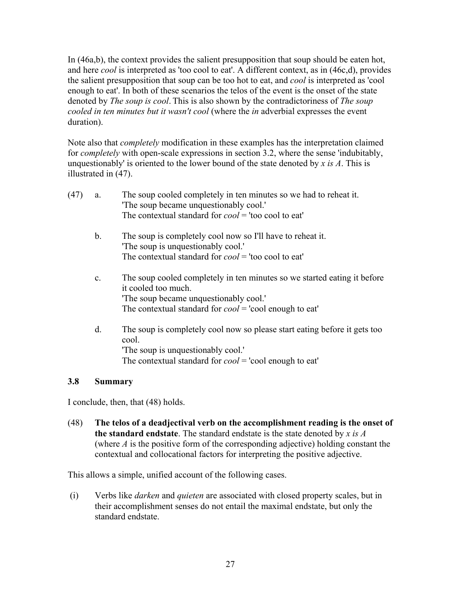In (46a,b), the context provides the salient presupposition that soup should be eaten hot, and here *cool* is interpreted as 'too cool to eat'. A different context, as in (46c,d), provides the salient presupposition that soup can be too hot to eat, and *cool* is interpreted as 'cool enough to eat'. In both of these scenarios the telos of the event is the onset of the state denoted by *The soup is cool*. This is also shown by the contradictoriness of *The soup cooled in ten minutes but it wasn't cool* (where the *in* adverbial expresses the event duration).

Note also that *completely* modification in these examples has the interpretation claimed for *completely* with open-scale expressions in section 3.2, where the sense 'indubitably, unquestionably' is oriented to the lower bound of the state denoted by *x is A*. This is illustrated in (47).

| (47)<br>a. |                | The soup cooled completely in ten minutes so we had to reheat it.<br>The soup became unquestionably cool." |  |  |
|------------|----------------|------------------------------------------------------------------------------------------------------------|--|--|
|            |                | The contextual standard for $cool = 'too cool$ to eat'                                                     |  |  |
|            | $\mathbf b$ .  | The soup is completely cool now so I'll have to reheat it.                                                 |  |  |
|            |                | The soup is unquestionably cool.                                                                           |  |  |
|            |                | The contextual standard for $cool = 'too cool$ to eat'                                                     |  |  |
|            | $\mathbf{c}$ . | The soup cooled completely in ten minutes so we started eating it before<br>it cooled too much.            |  |  |
|            |                | The soup became unquestionably cool.                                                                       |  |  |
|            |                | The contextual standard for $cool$ = 'cool enough to eat'                                                  |  |  |
|            | d.             | The soup is completely cool now so please start eating before it gets too<br>cool.                         |  |  |
|            |                | The soup is unquestionably cool.                                                                           |  |  |
|            |                | The contextual standard for $cool = 'cool$ enough to eat'                                                  |  |  |
|            |                |                                                                                                            |  |  |

# **3.8 Summary**

I conclude, then, that (48) holds.

(48) **The telos of a deadjectival verb on the accomplishment reading is the onset of the standard endstate**. The standard endstate is the state denoted by *x is A* (where *A* is the positive form of the corresponding adjective) holding constant the contextual and collocational factors for interpreting the positive adjective.

This allows a simple, unified account of the following cases.

 (i) Verbs like *darken* and *quieten* are associated with closed property scales, but in their accomplishment senses do not entail the maximal endstate, but only the standard endstate.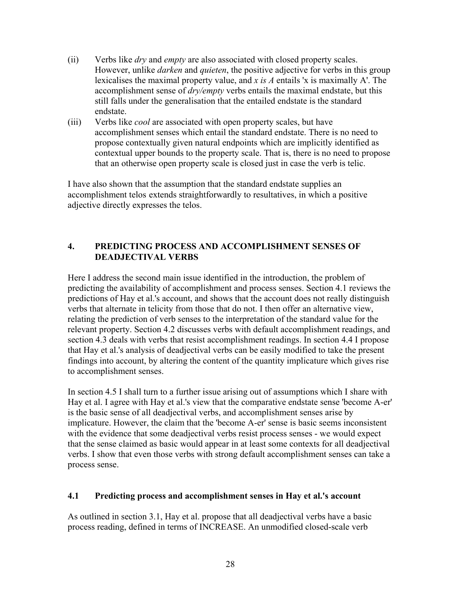- (ii) Verbs like *dry* and *empty* are also associated with closed property scales. However, unlike *darken* and *quieten*, the positive adjective for verbs in this group lexicalises the maximal property value, and *x is A* entails 'x is maximally A'. The accomplishment sense of *dry/empty* verbs entails the maximal endstate, but this still falls under the generalisation that the entailed endstate is the standard endstate.
- (iii) Verbs like *cool* are associated with open property scales, but have accomplishment senses which entail the standard endstate. There is no need to propose contextually given natural endpoints which are implicitly identified as contextual upper bounds to the property scale. That is, there is no need to propose that an otherwise open property scale is closed just in case the verb is telic.

I have also shown that the assumption that the standard endstate supplies an accomplishment telos extends straightforwardly to resultatives, in which a positive adjective directly expresses the telos.

#### **4. PREDICTING PROCESS AND ACCOMPLISHMENT SENSES OF DEADJECTIVAL VERBS**

Here I address the second main issue identified in the introduction, the problem of predicting the availability of accomplishment and process senses. Section 4.1 reviews the predictions of Hay et al.'s account, and shows that the account does not really distinguish verbs that alternate in telicity from those that do not. I then offer an alternative view, relating the prediction of verb senses to the interpretation of the standard value for the relevant property. Section 4.2 discusses verbs with default accomplishment readings, and section 4.3 deals with verbs that resist accomplishment readings. In section 4.4 I propose that Hay et al.'s analysis of deadjectival verbs can be easily modified to take the present findings into account, by altering the content of the quantity implicature which gives rise to accomplishment senses.

In section 4.5 I shall turn to a further issue arising out of assumptions which I share with Hay et al. I agree with Hay et al.'s view that the comparative endstate sense 'become A-er' is the basic sense of all deadjectival verbs, and accomplishment senses arise by implicature. However, the claim that the 'become A-er' sense is basic seems inconsistent with the evidence that some deadjectival verbs resist process senses - we would expect that the sense claimed as basic would appear in at least some contexts for all deadjectival verbs. I show that even those verbs with strong default accomplishment senses can take a process sense.

#### **4.1 Predicting process and accomplishment senses in Hay et al.'s account**

As outlined in section 3.1, Hay et al. propose that all deadjectival verbs have a basic process reading, defined in terms of INCREASE. An unmodified closed-scale verb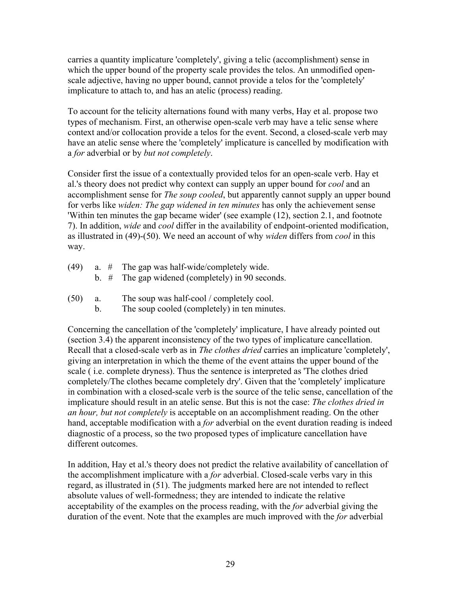carries a quantity implicature 'completely', giving a telic (accomplishment) sense in which the upper bound of the property scale provides the telos. An unmodified openscale adjective, having no upper bound, cannot provide a telos for the 'completely' implicature to attach to, and has an atelic (process) reading.

To account for the telicity alternations found with many verbs, Hay et al. propose two types of mechanism. First, an otherwise open-scale verb may have a telic sense where context and/or collocation provide a telos for the event. Second, a closed-scale verb may have an atelic sense where the 'completely' implicature is cancelled by modification with a *for* adverbial or by *but not completely*.

Consider first the issue of a contextually provided telos for an open-scale verb. Hay et al.'s theory does not predict why context can supply an upper bound for *cool* and an accomplishment sense for *The soup cooled*, but apparently cannot supply an upper bound for verbs like *widen: The gap widened in ten minutes* has only the achievement sense 'Within ten minutes the gap became wider' (see example (12), section 2.1, and footnote 7). In addition, *wide* and *cool* differ in the availability of endpoint-oriented modification, as illustrated in (49)-(50). We need an account of why *widen* differs from *cool* in this way.

- (49) a. # The gap was half-wide/completely wide.
	- b. # The gap widened (completely) in 90 seconds.
- (50) a. The soup was half-cool / completely cool.
	- b. The soup cooled (completely) in ten minutes.

Concerning the cancellation of the 'completely' implicature, I have already pointed out (section 3.4) the apparent inconsistency of the two types of implicature cancellation. Recall that a closed-scale verb as in *The clothes dried* carries an implicature 'completely', giving an interpretation in which the theme of the event attains the upper bound of the scale ( i.e. complete dryness). Thus the sentence is interpreted as 'The clothes dried completely/The clothes became completely dry'. Given that the 'completely' implicature in combination with a closed-scale verb is the source of the telic sense, cancellation of the implicature should result in an atelic sense. But this is not the case: *The clothes dried in an hour, but not completely* is acceptable on an accomplishment reading. On the other hand, acceptable modification with a *for* adverbial on the event duration reading is indeed diagnostic of a process, so the two proposed types of implicature cancellation have different outcomes.

In addition, Hay et al.'s theory does not predict the relative availability of cancellation of the accomplishment implicature with a *for* adverbial. Closed-scale verbs vary in this regard, as illustrated in (51). The judgments marked here are not intended to reflect absolute values of well-formedness; they are intended to indicate the relative acceptability of the examples on the process reading, with the *for* adverbial giving the duration of the event. Note that the examples are much improved with the *for* adverbial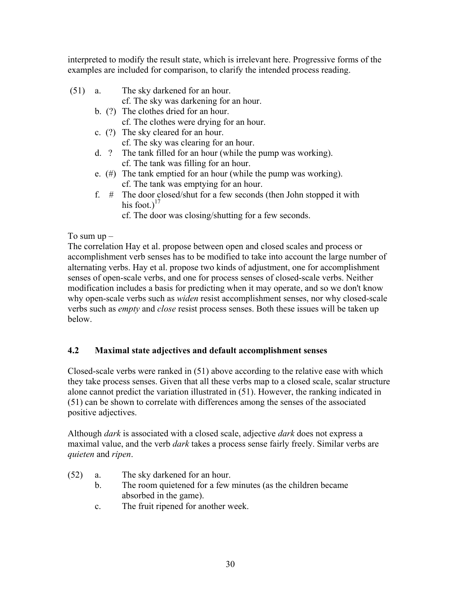interpreted to modify the result state, which is irrelevant here. Progressive forms of the examples are included for comparison, to clarify the intended process reading.

- (51) a. The sky darkened for an hour.
	- cf. The sky was darkening for an hour.
	- b. (?) The clothes dried for an hour. cf. The clothes were drying for an hour.
	- c. (?) The sky cleared for an hour. cf. The sky was clearing for an hour.
	- d. ? The tank filled for an hour (while the pump was working). cf. The tank was filling for an hour.
	- e. (#) The tank emptied for an hour (while the pump was working). cf. The tank was emptying for an hour.
	- f.  $\#$  The door closed/shut for a few seconds (then John stopped it with his foot.) $17$ 
		- cf. The door was closing/shutting for a few seconds.

### To sum up –

The correlation Hay et al. propose between open and closed scales and process or accomplishment verb senses has to be modified to take into account the large number of alternating verbs. Hay et al. propose two kinds of adjustment, one for accomplishment senses of open-scale verbs, and one for process senses of closed-scale verbs. Neither modification includes a basis for predicting when it may operate, and so we don't know why open-scale verbs such as *widen* resist accomplishment senses, nor why closed-scale verbs such as *empty* and *close* resist process senses. Both these issues will be taken up below.

#### **4.2 Maximal state adjectives and default accomplishment senses**

Closed-scale verbs were ranked in (51) above according to the relative ease with which they take process senses. Given that all these verbs map to a closed scale, scalar structure alone cannot predict the variation illustrated in (51). However, the ranking indicated in (51) can be shown to correlate with differences among the senses of the associated positive adjectives.

Although *dark* is associated with a closed scale, adjective *dark* does not express a maximal value, and the verb *dark* takes a process sense fairly freely. Similar verbs are *quieten* and *ripen*.

- (52) a. The sky darkened for an hour.
	- b. The room quietened for a few minutes (as the children became absorbed in the game).
	- c. The fruit ripened for another week.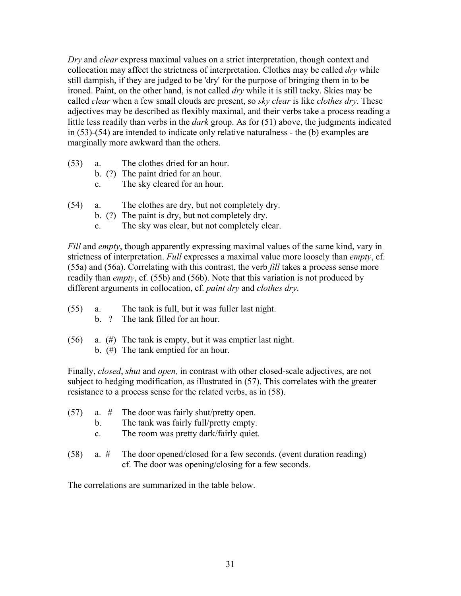*Dry* and *clear* express maximal values on a strict interpretation, though context and collocation may affect the strictness of interpretation. Clothes may be called *dry* while still dampish, if they are judged to be 'dry' for the purpose of bringing them in to be ironed. Paint, on the other hand, is not called *dry* while it is still tacky. Skies may be called *clear* when a few small clouds are present, so *sky clear* is like *clothes dry*. These adjectives may be described as flexibly maximal, and their verbs take a process reading a little less readily than verbs in the *dark* group. As for (51) above, the judgments indicated in (53)-(54) are intended to indicate only relative naturalness - the (b) examples are marginally more awkward than the others.

- (53) a. The clothes dried for an hour.
	- b. (?) The paint dried for an hour.
	- c. The sky cleared for an hour.
- (54) a. The clothes are dry, but not completely dry.
	- b. (?) The paint is dry, but not completely dry.
	- c. The sky was clear, but not completely clear.

*Fill* and *empty*, though apparently expressing maximal values of the same kind, vary in strictness of interpretation. *Full* expresses a maximal value more loosely than *empty*, cf. (55a) and (56a). Correlating with this contrast, the verb *fill* takes a process sense more readily than *empty*, cf. (55b) and (56b). Note that this variation is not produced by different arguments in collocation, cf. *paint dry* and *clothes dry*.

- (55) a. The tank is full, but it was fuller last night.
	- b. ? The tank filled for an hour.
- (56) a. (#) The tank is empty, but it was emptier last night.
	- b. (#) The tank emptied for an hour.

Finally, *closed*, *shut* and *open,* in contrast with other closed-scale adjectives, are not subject to hedging modification, as illustrated in (57). This correlates with the greater resistance to a process sense for the related verbs, as in (58).

- (57) a. # The door was fairly shut/pretty open.
	- b. The tank was fairly full/pretty empty.
	- c. The room was pretty dark/fairly quiet.
- (58) a. # The door opened/closed for a few seconds. (event duration reading) cf. The door was opening/closing for a few seconds.

The correlations are summarized in the table below.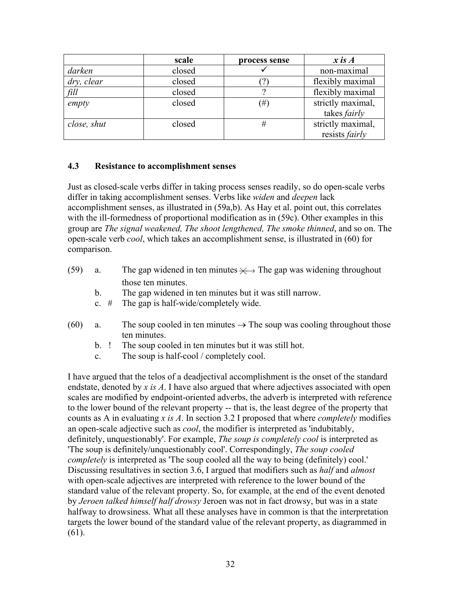|             | scale  | process sense | $x$ is $A$            |
|-------------|--------|---------------|-----------------------|
| darken      | closed |               | non-maximal           |
| dry, clear  | closed |               | flexibly maximal      |
| fill        | closed |               | flexibly maximal      |
| empty       | closed | $^{(\#)}$     | strictly maximal,     |
|             |        |               | takes <i>fairly</i>   |
| close, shut | closed | #             | strictly maximal,     |
|             |        |               | resists <i>fairly</i> |

#### **4.3 Resistance to accomplishment senses**

Just as closed-scale verbs differ in taking process senses readily, so do open-scale verbs differ in taking accomplishment senses. Verbs like *widen* and *deepen* lack accomplishment senses, as illustrated in (59a,b). As Hay et al. point out, this correlates with the ill-formedness of proportional modification as in (59c). Other examples in this group are *The signal weakened, The shoot lengthened, The smoke thinned*, and so on. The open-scale verb *cool*, which takes an accomplishment sense, is illustrated in (60) for comparison.

- (59) a. The gap widened in ten minutes  $\leftrightarrow$  The gap was widening throughout those ten minutes.
	- b. The gap widened in ten minutes but it was still narrow.
	- c. # The gap is half-wide/completely wide.
- (60) a. The soup cooled in ten minutes  $\rightarrow$  The soup was cooling throughout those ten minutes.
	- b. ! The soup cooled in ten minutes but it was still hot.
	- c. The soup is half-cool / completely cool.

I have argued that the telos of a deadjectival accomplishment is the onset of the standard endstate, denoted by *x is A*. I have also argued that where adjectives associated with open scales are modified by endpoint-oriented adverbs, the adverb is interpreted with reference to the lower bound of the relevant property -- that is, the least degree of the property that counts as A in evaluating *x is A*. In section 3.2 I proposed that where *completely* modifies an open-scale adjective such as *cool*, the modifier is interpreted as 'indubitably, definitely, unquestionably'. For example, *The soup is completely cool* is interpreted as 'The soup is definitely/unquestionably cool'. Correspondingly, *The soup cooled completely* is interpreted as 'The soup cooled all the way to being (definitely) cool.' Discussing resultatives in section 3.6, I argued that modifiers such as *half* and *almost* with open-scale adjectives are interpreted with reference to the lower bound of the standard value of the relevant property. So, for example, at the end of the event denoted by *Jeroen talked himself half drowsy* Jeroen was not in fact drowsy, but was in a state halfway to drowsiness. What all these analyses have in common is that the interpretation targets the lower bound of the standard value of the relevant property, as diagrammed in (61).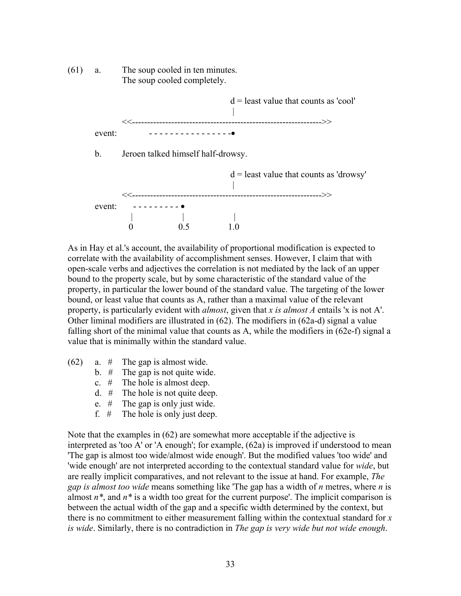

As in Hay et al.'s account, the availability of proportional modification is expected to correlate with the availability of accomplishment senses. However, I claim that with open-scale verbs and adjectives the correlation is not mediated by the lack of an upper bound to the property scale, but by some characteristic of the standard value of the property, in particular the lower bound of the standard value. The targeting of the lower bound, or least value that counts as A, rather than a maximal value of the relevant property, is particularly evident with *almost*, given that *x is almost A* entails 'x is not A'. Other liminal modifiers are illustrated in (62). The modifiers in (62a-d) signal a value falling short of the minimal value that counts as A, while the modifiers in (62e-f) signal a value that is minimally within the standard value.

- $(62)$  a. # The gap is almost wide.
	- b. # The gap is not quite wide.
	- c. # The hole is almost deep.
	- d. # The hole is not quite deep.
	- e. # The gap is only just wide.
	- f.  $\#$  The hole is only just deep.

Note that the examples in (62) are somewhat more acceptable if the adjective is interpreted as 'too A' or 'A enough'; for example, (62a) is improved if understood to mean 'The gap is almost too wide/almost wide enough'. But the modified values 'too wide' and 'wide enough' are not interpreted according to the contextual standard value for *wide*, but are really implicit comparatives, and not relevant to the issue at hand. For example, *The gap is almost too wide* means something like 'The gap has a width of *n* metres, where *n* is almost  $n^*$ , and  $n^*$  is a width too great for the current purpose'. The implicit comparison is between the actual width of the gap and a specific width determined by the context, but there is no commitment to either measurement falling within the contextual standard for *x is wide*. Similarly, there is no contradiction in *The gap is very wide but not wide enough*.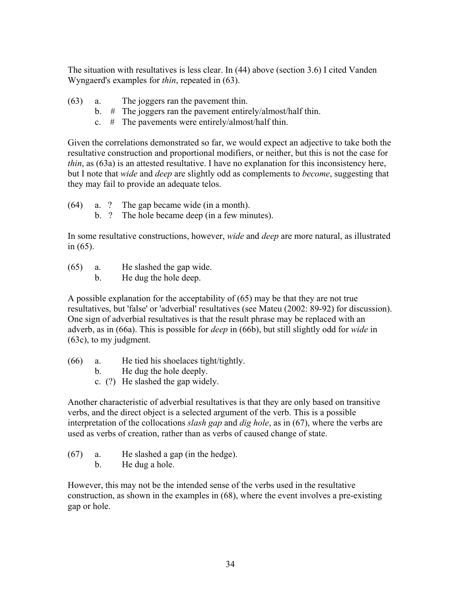The situation with resultatives is less clear. In (44) above (section 3.6) I cited Vanden Wyngaerd's examples for *thin*, repeated in (63).

- (63) a. The joggers ran the pavement thin.
	- b. # The joggers ran the pavement entirely/almost/half thin.
	- c. # The pavements were entirely/almost/half thin.

Given the correlations demonstrated so far, we would expect an adjective to take both the resultative construction and proportional modifiers, or neither, but this is not the case for *thin*, as (63a) is an attested resultative. I have no explanation for this inconsistency here, but I note that *wide* and *deep* are slightly odd as complements to *become*, suggesting that they may fail to provide an adequate telos.

- (64) a. ? The gap became wide (in a month).
	- b. ? The hole became deep (in a few minutes).

In some resultative constructions, however, *wide* and *deep* are more natural, as illustrated in (65).

- (65) a. He slashed the gap wide.
	- b. He dug the hole deep.

A possible explanation for the acceptability of  $(65)$  may be that they are not true resultatives, but 'false' or 'adverbial' resultatives (see Mateu (2002: 89-92) for discussion). One sign of adverbial resultatives is that the result phrase may be replaced with an adverb, as in (66a). This is possible for *deep* in (66b), but still slightly odd for *wide* in (63c), to my judgment.

- (66) a. He tied his shoelaces tight/tightly.
	- b. He dug the hole deeply.
	- c. (?) He slashed the gap widely.

Another characteristic of adverbial resultatives is that they are only based on transitive verbs, and the direct object is a selected argument of the verb. This is a possible interpretation of the collocations *slash gap* and *dig hole*, as in (67), where the verbs are used as verbs of creation, rather than as verbs of caused change of state.

- (67) a. He slashed a gap (in the hedge).
	- b. He dug a hole.

However, this may not be the intended sense of the verbs used in the resultative construction, as shown in the examples in (68), where the event involves a pre-existing gap or hole.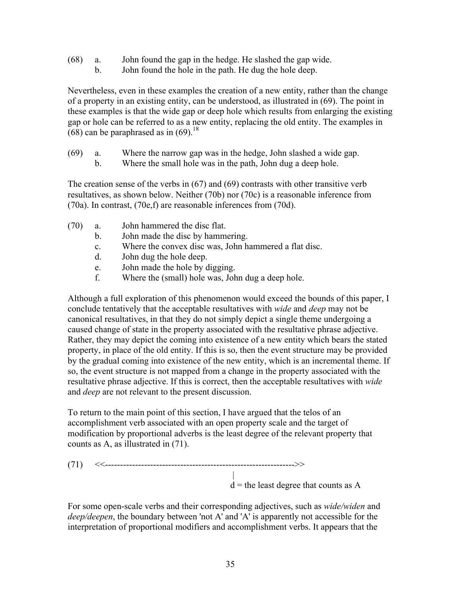- (68) a. John found the gap in the hedge. He slashed the gap wide.
	- b. John found the hole in the path. He dug the hole deep.

Nevertheless, even in these examples the creation of a new entity, rather than the change of a property in an existing entity, can be understood, as illustrated in (69). The point in these examples is that the wide gap or deep hole which results from enlarging the existing gap or hole can be referred to as a new entity, replacing the old entity. The examples in (68) can be paraphrased as in  $(69)$ .<sup>18</sup>

- (69) a. Where the narrow gap was in the hedge, John slashed a wide gap.
	- b. Where the small hole was in the path, John dug a deep hole.

The creation sense of the verbs in (67) and (69) contrasts with other transitive verb resultatives, as shown below. Neither (70b) nor (70c) is a reasonable inference from (70a). In contrast, (70e,f) are reasonable inferences from (70d).

- (70) a. John hammered the disc flat.
	- b. John made the disc by hammering.
	- c. Where the convex disc was, John hammered a flat disc.
	- d. John dug the hole deep.
	- e. John made the hole by digging.
	- f. Where the (small) hole was, John dug a deep hole.

Although a full exploration of this phenomenon would exceed the bounds of this paper, I conclude tentatively that the acceptable resultatives with *wide* and *deep* may not be canonical resultatives, in that they do not simply depict a single theme undergoing a caused change of state in the property associated with the resultative phrase adjective. Rather, they may depict the coming into existence of a new entity which bears the stated property, in place of the old entity. If this is so, then the event structure may be provided by the gradual coming into existence of the new entity, which is an incremental theme. If so, the event structure is not mapped from a change in the property associated with the resultative phrase adjective. If this is correct, then the acceptable resultatives with *wide* and *deep* are not relevant to the present discussion.

To return to the main point of this section, I have argued that the telos of an accomplishment verb associated with an open property scale and the target of modification by proportional adverbs is the least degree of the relevant property that counts as A, as illustrated in (71).

$$
(71) \quad << \quad \text{---} \quad \text{---} \quad \text{---} \quad \text{---} \quad \text{---} \quad \text{---} \quad \text{---} \quad \text{---} \quad \text{---} \quad \text{---} \quad \text{---} \quad \text{---} \quad \text{---} \quad \text{---} \quad \text{---} \quad \text{---} \quad \text{---} \quad \text{---} \quad \text{---} \quad \text{---} \quad \text{---} \quad \text{---} \quad \text{---} \quad \text{---} \quad \text{---} \quad \text{---} \quad \text{---} \quad \text{---} \quad \text{---} \quad \text{---} \quad \text{---} \quad \text{---} \quad \text{---} \quad \text{---} \quad \text{---} \quad \text{---} \quad \text{---} \quad \text{---} \quad \text{---} \quad \text{---} \quad \text{---} \quad \text{---} \quad \text{---} \quad \text{---} \quad \text{---} \quad \text{---} \quad \text{---} \quad \text{---} \quad \text{---} \quad \text{---} \quad \text{---} \quad \text{---} \quad \text{---} \quad \text{---} \quad \text{---} \quad \text{---} \quad \text{---} \quad \text{---} \quad \text{---} \quad \text{---} \quad \text{---} \quad \text{---} \quad \text{---} \quad \text{---} \quad \text{---} \quad \text{---} \quad \text{---} \quad \text{---} \quad \text{---} \quad \text{---} \quad \text{---} \quad \text{---} \quad \text{---} \quad \text{---} \quad \text{---} \quad \text{---} \quad \text{---} \quad \text{---} \quad \text{---} \quad \text{---} \quad \text{---} \quad \text{---} \quad \text{---} \quad \text{---} \quad \text{---} \quad \text{---} \quad \text{---} \quad \text{---} \quad \text{---} \quad \text{---} \quad \text{---} \quad \text{---} \quad \text{---} \quad \text{---} \quad \text{---} \quad \text{---} \quad \text{---} \quad \text{---} \quad \text{---} \quad \text{---} \quad \text{---} \quad \text{---} \quad \text{---} \quad \text{---} \quad \text{---} \quad \text{---} \quad \text{---}
$$

For some open-scale verbs and their corresponding adjectives, such as *wide/widen* and *deep/deepen*, the boundary between 'not A' and 'A' is apparently not accessible for the interpretation of proportional modifiers and accomplishment verbs. It appears that the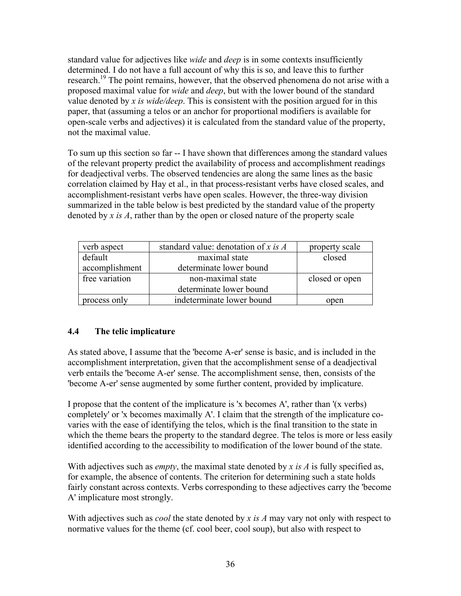standard value for adjectives like *wide* and *deep* is in some contexts insufficiently determined. I do not have a full account of why this is so, and leave this to further research.<sup>19</sup> The point remains, however, that the observed phenomena do not arise with a proposed maximal value for *wide* and *deep*, but with the lower bound of the standard value denoted by *x is wide/deep*. This is consistent with the position argued for in this paper, that (assuming a telos or an anchor for proportional modifiers is available for open-scale verbs and adjectives) it is calculated from the standard value of the property, not the maximal value.

To sum up this section so far -- I have shown that differences among the standard values of the relevant property predict the availability of process and accomplishment readings for deadjectival verbs. The observed tendencies are along the same lines as the basic correlation claimed by Hay et al., in that process-resistant verbs have closed scales, and accomplishment-resistant verbs have open scales. However, the three-way division summarized in the table below is best predicted by the standard value of the property denoted by *x is A*, rather than by the open or closed nature of the property scale

| standard value: denotation of x is $\Lambda$<br>verb aspect |                           | property scale |
|-------------------------------------------------------------|---------------------------|----------------|
| default                                                     | maximal state             |                |
| accomplishment                                              | determinate lower bound   |                |
| free variation<br>non-maximal state                         |                           | closed or open |
|                                                             | determinate lower bound   |                |
| process only                                                | indeterminate lower bound | open           |

#### **4.4 The telic implicature**

As stated above, I assume that the 'become A-er' sense is basic, and is included in the accomplishment interpretation, given that the accomplishment sense of a deadjectival verb entails the 'become A-er' sense. The accomplishment sense, then, consists of the 'become A-er' sense augmented by some further content, provided by implicature.

I propose that the content of the implicature is 'x becomes A', rather than '(x verbs) completely' or 'x becomes maximally A'. I claim that the strength of the implicature covaries with the ease of identifying the telos, which is the final transition to the state in which the theme bears the property to the standard degree. The telos is more or less easily identified according to the accessibility to modification of the lower bound of the state.

With adjectives such as *empty*, the maximal state denoted by *x is A* is fully specified as, for example, the absence of contents. The criterion for determining such a state holds fairly constant across contexts. Verbs corresponding to these adjectives carry the 'become A' implicature most strongly.

With adjectives such as *cool* the state denoted by *x is A* may vary not only with respect to normative values for the theme (cf. cool beer, cool soup), but also with respect to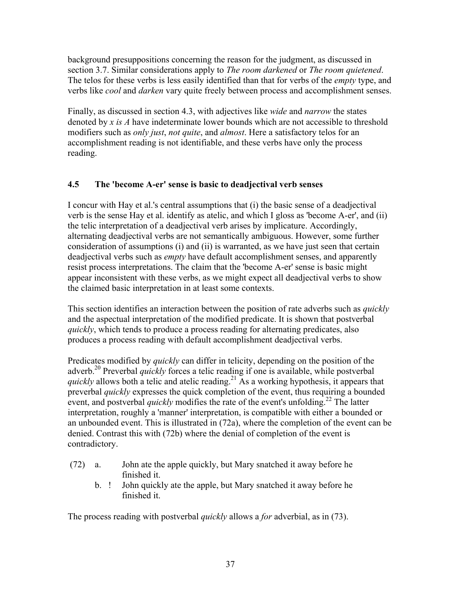background presuppositions concerning the reason for the judgment, as discussed in section 3.7. Similar considerations apply to *The room darkened* or *The room quietened*. The telos for these verbs is less easily identified than that for verbs of the *empty* type, and verbs like *cool* and *darken* vary quite freely between process and accomplishment senses.

Finally, as discussed in section 4.3, with adjectives like *wide* and *narrow* the states denoted by *x is A* have indeterminate lower bounds which are not accessible to threshold modifiers such as *only just*, *not quite*, and *almost*. Here a satisfactory telos for an accomplishment reading is not identifiable, and these verbs have only the process reading.

### **4.5 The 'become A-er' sense is basic to deadjectival verb senses**

I concur with Hay et al.'s central assumptions that (i) the basic sense of a deadjectival verb is the sense Hay et al. identify as atelic, and which I gloss as 'become A-er', and (ii) the telic interpretation of a deadjectival verb arises by implicature. Accordingly, alternating deadjectival verbs are not semantically ambiguous. However, some further consideration of assumptions (i) and (ii) is warranted, as we have just seen that certain deadjectival verbs such as *empty* have default accomplishment senses, and apparently resist process interpretations. The claim that the 'become A-er' sense is basic might appear inconsistent with these verbs, as we might expect all deadjectival verbs to show the claimed basic interpretation in at least some contexts.

This section identifies an interaction between the position of rate adverbs such as *quickly* and the aspectual interpretation of the modified predicate. It is shown that postverbal *quickly*, which tends to produce a process reading for alternating predicates, also produces a process reading with default accomplishment deadjectival verbs.

Predicates modified by *quickly* can differ in telicity, depending on the position of the adverb.20 Preverbal *quickly* forces a telic reading if one is available, while postverbal *quickly* allows both a telic and atelic reading.<sup>21</sup> As a working hypothesis, it appears that preverbal *quickly* expresses the quick completion of the event, thus requiring a bounded event, and postverbal *quickly* modifies the rate of the event's unfolding.<sup>22</sup> The latter interpretation, roughly a 'manner' interpretation, is compatible with either a bounded or an unbounded event. This is illustrated in (72a), where the completion of the event can be denied. Contrast this with (72b) where the denial of completion of the event is contradictory.

- (72) a. John ate the apple quickly, but Mary snatched it away before he finished it.
	- b. ! John quickly ate the apple, but Mary snatched it away before he finished it.

The process reading with postverbal *quickly* allows a *for* adverbial, as in (73).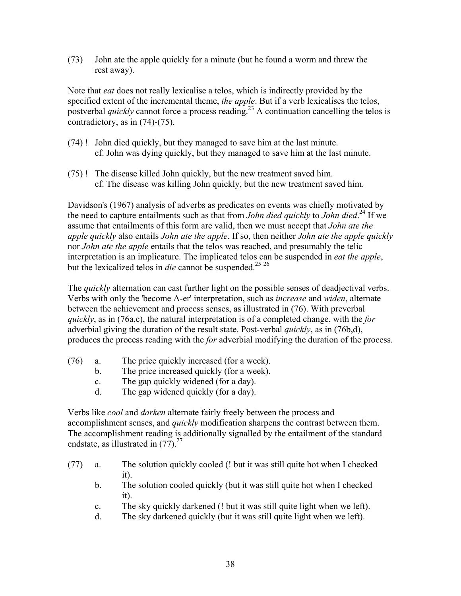(73) John ate the apple quickly for a minute (but he found a worm and threw the rest away).

Note that *eat* does not really lexicalise a telos, which is indirectly provided by the specified extent of the incremental theme, *the apple*. But if a verb lexicalises the telos, postverbal *quickly* cannot force a process reading.<sup>23</sup> A continuation cancelling the telos is contradictory, as in (74)-(75).

- (74) ! John died quickly, but they managed to save him at the last minute. cf. John was dying quickly, but they managed to save him at the last minute.
- (75) ! The disease killed John quickly, but the new treatment saved him. cf. The disease was killing John quickly, but the new treatment saved him.

Davidson's (1967) analysis of adverbs as predicates on events was chiefly motivated by the need to capture entailments such as that from *John died quickly* to *John died*. 24 If we assume that entailments of this form are valid, then we must accept that *John ate the apple quickly* also entails *John ate the apple*. If so, then neither *John ate the apple quickly* nor *John ate the apple* entails that the telos was reached, and presumably the telic interpretation is an implicature. The implicated telos can be suspended in *eat the apple*, but the lexicalized telos in *die* cannot be suspended.<sup>25 26</sup>

The *quickly* alternation can cast further light on the possible senses of deadjectival verbs. Verbs with only the 'become A-er' interpretation, such as *increase* and *widen*, alternate between the achievement and process senses, as illustrated in (76). With preverbal *quickly*, as in (76a,c), the natural interpretation is of a completed change, with the *for* adverbial giving the duration of the result state. Post-verbal *quickly*, as in (76b,d), produces the process reading with the *for* adverbial modifying the duration of the process.

- (76) a. The price quickly increased (for a week).
	- b. The price increased quickly (for a week).
	- c. The gap quickly widened (for a day).
	- d. The gap widened quickly (for a day).

Verbs like *cool* and *darken* alternate fairly freely between the process and accomplishment senses, and *quickly* modification sharpens the contrast between them. The accomplishment reading is additionally signalled by the entailment of the standard endstate, as illustrated in  $(77)$ .<sup>27</sup>

- (77) a. The solution quickly cooled (! but it was still quite hot when I checked it).
	- b. The solution cooled quickly (but it was still quite hot when I checked it).
	- c. The sky quickly darkened (! but it was still quite light when we left).
	- d. The sky darkened quickly (but it was still quite light when we left).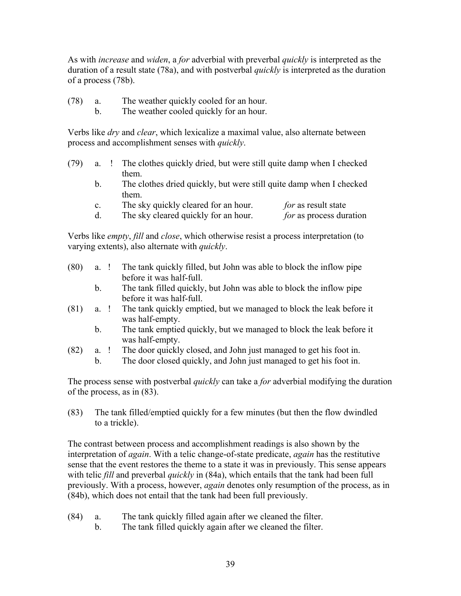As with *increase* and *widen*, a *for* adverbial with preverbal *quickly* is interpreted as the duration of a result state (78a), and with postverbal *quickly* is interpreted as the duration of a process (78b).

- (78) a. The weather quickly cooled for an hour.
	- b. The weather cooled quickly for an hour.

Verbs like *dry* and *clear*, which lexicalize a maximal value, also alternate between process and accomplishment senses with *quickly*.

- (79) a. ! The clothes quickly dried, but were still quite damp when I checked them.
	- b. The clothes dried quickly, but were still quite damp when I checked them.
	- c. The sky quickly cleared for an hour. *for* as result state
	- d. The sky cleared quickly for an hour. *for* as process duration

Verbs like *empty*, *fill* and *close*, which otherwise resist a process interpretation (to varying extents), also alternate with *quickly*.

- (80) a. ! The tank quickly filled, but John was able to block the inflow pipe before it was half-full.
	- b. The tank filled quickly, but John was able to block the inflow pipe before it was half-full.
- (81) a. ! The tank quickly emptied, but we managed to block the leak before it was half-empty.
	- b. The tank emptied quickly, but we managed to block the leak before it was half-empty.
- (82) a. ! The door quickly closed, and John just managed to get his foot in.
	- b. The door closed quickly, and John just managed to get his foot in.

The process sense with postverbal *quickly* can take a *for* adverbial modifying the duration of the process, as in (83).

(83) The tank filled/emptied quickly for a few minutes (but then the flow dwindled to a trickle).

The contrast between process and accomplishment readings is also shown by the interpretation of *again*. With a telic change-of-state predicate, *again* has the restitutive sense that the event restores the theme to a state it was in previously. This sense appears with telic *fill* and preverbal *quickly* in (84a), which entails that the tank had been full previously. With a process, however, *again* denotes only resumption of the process, as in (84b), which does not entail that the tank had been full previously.

- (84) a. The tank quickly filled again after we cleaned the filter.
	- b. The tank filled quickly again after we cleaned the filter.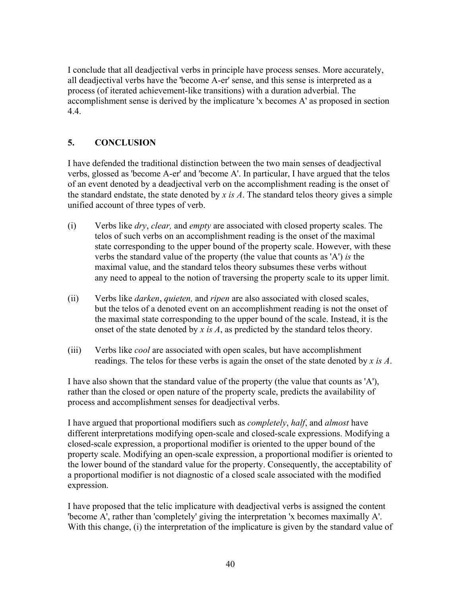I conclude that all deadjectival verbs in principle have process senses. More accurately, all deadjectival verbs have the 'become A-er' sense, and this sense is interpreted as a process (of iterated achievement-like transitions) with a duration adverbial. The accomplishment sense is derived by the implicature 'x becomes A' as proposed in section 4.4.

# **5. CONCLUSION**

I have defended the traditional distinction between the two main senses of deadjectival verbs, glossed as 'become A-er' and 'become A'. In particular, I have argued that the telos of an event denoted by a deadjectival verb on the accomplishment reading is the onset of the standard endstate, the state denoted by *x is A*. The standard telos theory gives a simple unified account of three types of verb.

- (i) Verbs like *dry*, *clear,* and *empty* are associated with closed property scales. The telos of such verbs on an accomplishment reading is the onset of the maximal state corresponding to the upper bound of the property scale. However, with these verbs the standard value of the property (the value that counts as 'A') *is* the maximal value, and the standard telos theory subsumes these verbs without any need to appeal to the notion of traversing the property scale to its upper limit.
- (ii) Verbs like *darken*, *quieten,* and *ripen* are also associated with closed scales, but the telos of a denoted event on an accomplishment reading is not the onset of the maximal state corresponding to the upper bound of the scale. Instead, it is the onset of the state denoted by *x is A*, as predicted by the standard telos theory.
- (iii) Verbs like *cool* are associated with open scales, but have accomplishment readings. The telos for these verbs is again the onset of the state denoted by *x is A*.

I have also shown that the standard value of the property (the value that counts as 'A'), rather than the closed or open nature of the property scale, predicts the availability of process and accomplishment senses for deadjectival verbs.

I have argued that proportional modifiers such as *completely*, *half*, and *almost* have different interpretations modifying open-scale and closed-scale expressions. Modifying a closed-scale expression, a proportional modifier is oriented to the upper bound of the property scale. Modifying an open-scale expression, a proportional modifier is oriented to the lower bound of the standard value for the property. Consequently, the acceptability of a proportional modifier is not diagnostic of a closed scale associated with the modified expression.

I have proposed that the telic implicature with deadjectival verbs is assigned the content 'become A', rather than 'completely' giving the interpretation 'x becomes maximally A'. With this change, (i) the interpretation of the implicature is given by the standard value of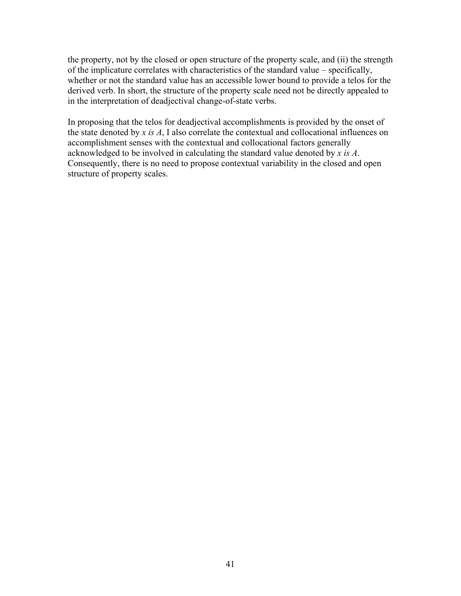the property, not by the closed or open structure of the property scale, and (ii) the strength of the implicature correlates with characteristics of the standard value – specifically, whether or not the standard value has an accessible lower bound to provide a telos for the derived verb. In short, the structure of the property scale need not be directly appealed to in the interpretation of deadjectival change-of-state verbs.

In proposing that the telos for deadjectival accomplishments is provided by the onset of the state denoted by *x is A*, I also correlate the contextual and collocational influences on accomplishment senses with the contextual and collocational factors generally acknowledged to be involved in calculating the standard value denoted by *x is A*. Consequently, there is no need to propose contextual variability in the closed and open structure of property scales.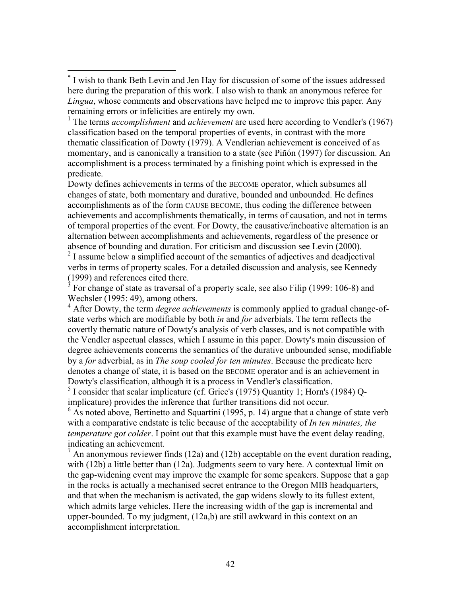$\overline{a}$ 

<sup>1</sup> The terms *accomplishment* and *achievement* are used here according to Vendler's (1967) classification based on the temporal properties of events, in contrast with the more thematic classification of Dowty (1979). A Vendlerian achievement is conceived of as momentary, and is canonically a transition to a state (see Piñón (1997) for discussion. An accomplishment is a process terminated by a finishing point which is expressed in the predicate.

Dowty defines achievements in terms of the BECOME operator, which subsumes all changes of state, both momentary and durative, bounded and unbounded. He defines accomplishments as of the form CAUSE BECOME, thus coding the difference between achievements and accomplishments thematically, in terms of causation, and not in terms of temporal properties of the event. For Dowty, the causative/inchoative alternation is an alternation between accomplishments and achievements, regardless of the presence or absence of bounding and duration. For criticism and discussion see Levin (2000).

<sup>2</sup> I assume below a simplified account of the semantics of adjectives and deadjectival verbs in terms of property scales. For a detailed discussion and analysis, see Kennedy (1999) and references cited there.

3 For change of state as traversal of a property scale, see also Filip (1999: 106-8) and Wechsler (1995: 49), among others.

4 After Dowty, the term *degree achievements* is commonly applied to gradual change-ofstate verbs which are modifiable by both *in* and *for* adverbials. The term reflects the covertly thematic nature of Dowty's analysis of verb classes, and is not compatible with the Vendler aspectual classes, which I assume in this paper. Dowty's main discussion of degree achievements concerns the semantics of the durative unbounded sense, modifiable by a *for* adverbial, as in *The soup cooled for ten minutes*. Because the predicate here denotes a change of state, it is based on the BECOME operator and is an achievement in Dowty's classification, although it is a process in Vendler's classification.

 $<sup>5</sup>$  I consider that scalar implicature (cf. Grice's (1975) Quantity 1; Horn's (1984) Q-</sup> implicature) provides the inference that further transitions did not occur.

 $6$  As noted above, Bertinetto and Squartini (1995, p. 14) argue that a change of state verb with a comparative endstate is telic because of the acceptability of *In ten minutes, the temperature got colder*. I point out that this example must have the event delay reading, indicating an achievement.

 $^7$  An anonymous reviewer finds (12a) and (12b) acceptable on the event duration reading, with (12b) a little better than (12a). Judgments seem to vary here. A contextual limit on the gap-widening event may improve the example for some speakers. Suppose that a gap in the rocks is actually a mechanised secret entrance to the Oregon MIB headquarters, and that when the mechanism is activated, the gap widens slowly to its fullest extent, which admits large vehicles. Here the increasing width of the gap is incremental and upper-bounded. To my judgment, (12a,b) are still awkward in this context on an accomplishment interpretation.

<sup>\*</sup> I wish to thank Beth Levin and Jen Hay for discussion of some of the issues addressed here during the preparation of this work. I also wish to thank an anonymous referee for *Lingua*, whose comments and observations have helped me to improve this paper. Any remaining errors or infelicities are entirely my own.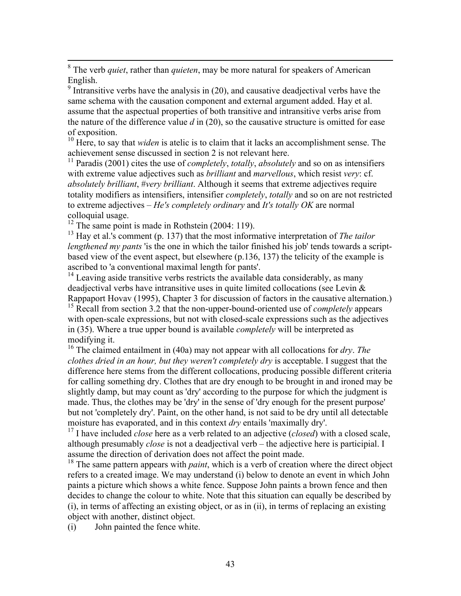$9$  Intransitive verbs have the analysis in (20), and causative deadjectival verbs have the same schema with the causation component and external argument added. Hay et al. assume that the aspectual properties of both transitive and intransitive verbs arise from the nature of the difference value *d* in (20), so the causative structure is omitted for ease of exposition.

10 Here, to say that *widen* is atelic is to claim that it lacks an accomplishment sense. The achievement sense discussed in section 2 is not relevant here.

<sup>11</sup> Paradis (2001) cites the use of *completely*, *totally*, *absolutely* and so on as intensifiers with extreme value adjectives such as *brilliant* and *marvellous*, which resist *very*: cf. *absolutely brilliant*, #*very brilliant*. Although it seems that extreme adjectives require totality modifiers as intensifiers, intensifier *completely*, *totally* and so on are not restricted to extreme adjectives – *He's completely ordinary* and *It's totally OK* are normal colloquial usage.

 $12$  The same point is made in Rothstein (2004: 119).

13 Hay et al.'s comment (p. 137) that the most informative interpretation of *The tailor lengthened my pants* 'is the one in which the tailor finished his job' tends towards a scriptbased view of the event aspect, but elsewhere (p.136, 137) the telicity of the example is ascribed to 'a conventional maximal length for pants'.

 $14$  Leaving aside transitive verbs restricts the available data considerably, as many deadjectival verbs have intransitive uses in quite limited collocations (see Levin & Rappaport Hovav (1995), Chapter 3 for discussion of factors in the causative alternation.) <sup>15</sup> Recall from section 3.2 that the non-upper-bound-oriented use of *completely* appears with open-scale expressions, but not with closed-scale expressions such as the adjectives in (35). Where a true upper bound is available *completely* will be interpreted as

modifying it.

16 The claimed entailment in (40a) may not appear with all collocations for *dry*. *The clothes dried in an hour, but they weren't completely dry* is acceptable. I suggest that the difference here stems from the different collocations, producing possible different criteria for calling something dry. Clothes that are dry enough to be brought in and ironed may be slightly damp, but may count as 'dry' according to the purpose for which the judgment is made. Thus, the clothes may be 'dry' in the sense of 'dry enough for the present purpose' but not 'completely dry'. Paint, on the other hand, is not said to be dry until all detectable moisture has evaporated, and in this context *dry* entails 'maximally dry'.

17 I have included *close* here as a verb related to an adjective (*closed*) with a closed scale, although presumably *close* is not a deadjectival verb – the adjective here is participial. I assume the direction of derivation does not affect the point made.

<sup>18</sup> The same pattern appears with *paint*, which is a verb of creation where the direct object refers to a created image. We may understand (i) below to denote an event in which John paints a picture which shows a white fence. Suppose John paints a brown fence and then decides to change the colour to white. Note that this situation can equally be described by (i), in terms of affecting an existing object, or as in (ii), in terms of replacing an existing object with another, distinct object.

(i) John painted the fence white.

 <sup>8</sup> The verb *quiet*, rather than *quieten*, may be more natural for speakers of American English.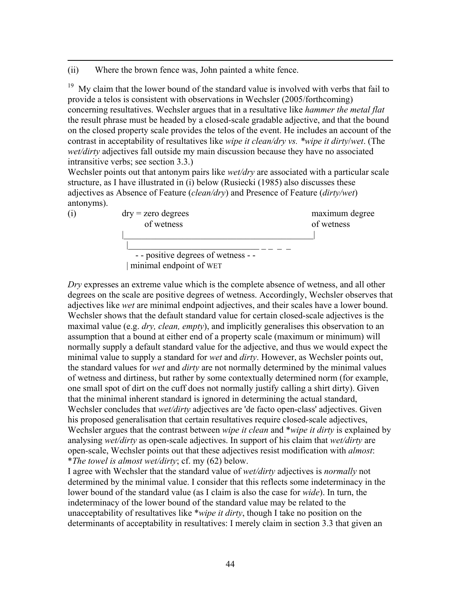(ii) Where the brown fence was, John painted a white fence.

 $19$  My claim that the lower bound of the standard value is involved with verbs that fail to provide a telos is consistent with observations in Wechsler (2005/forthcoming) concerning resultatives. Wechsler argues that in a resultative like *hammer the metal flat* the result phrase must be headed by a closed-scale gradable adjective, and that the bound on the closed property scale provides the telos of the event. He includes an account of the contrast in acceptability of resultatives like *wipe it clean/dry vs. \*wipe it dirty*/*wet*. (The *wet/dirty* adjectives fall outside my main discussion because they have no associated intransitive verbs; see section 3.3.)

Wechsler points out that antonym pairs like *wet/dry* are associated with a particular scale structure, as I have illustrated in (i) below (Rusiecki (1985) also discusses these adjectives as Absence of Feature (*clean/dry*) and Presence of Feature (*dirty/wet*) antonyms).

 $\overline{a}$ 



| minimal endpoint of WET

*Dry* expresses an extreme value which is the complete absence of wetness, and all other degrees on the scale are positive degrees of wetness. Accordingly, Wechsler observes that adjectives like *wet* are minimal endpoint adjectives, and their scales have a lower bound. Wechsler shows that the default standard value for certain closed-scale adjectives is the maximal value (e.g. *dry, clean, empty*), and implicitly generalises this observation to an assumption that a bound at either end of a property scale (maximum or minimum) will normally supply a default standard value for the adjective, and thus we would expect the minimal value to supply a standard for *wet* and *dirty*. However, as Wechsler points out, the standard values for *wet* and *dirty* are not normally determined by the minimal values of wetness and dirtiness, but rather by some contextually determined norm (for example, one small spot of dirt on the cuff does not normally justify calling a shirt dirty). Given that the minimal inherent standard is ignored in determining the actual standard, Wechsler concludes that *wet/dirty* adjectives are 'de facto open-class' adjectives. Given his proposed generalisation that certain resultatives require closed-scale adjectives, Wechsler argues that the contrast between *wipe it clean* and \**wipe it dirty* is explained by analysing *wet/dirty* as open-scale adjectives. In support of his claim that *wet/dirty* are open-scale, Wechsler points out that these adjectives resist modification with *almost*: \**The towel is almost wet/dirty*; cf. my (62) below.

I agree with Wechsler that the standard value of *wet/dirty* adjectives is *normally* not determined by the minimal value. I consider that this reflects some indeterminacy in the lower bound of the standard value (as I claim is also the case for *wide*). In turn, the indeterminacy of the lower bound of the standard value may be related to the unacceptability of resultatives like \**wipe it dirty*, though I take no position on the determinants of acceptability in resultatives: I merely claim in section 3.3 that given an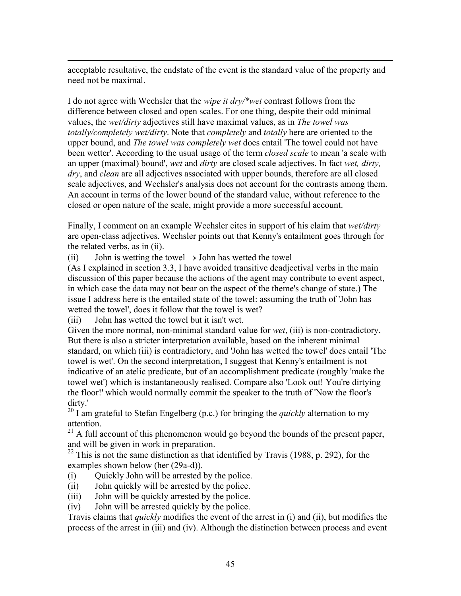$\overline{a}$ acceptable resultative, the endstate of the event is the standard value of the property and need not be maximal.

I do not agree with Wechsler that the *wipe it dry/\*wet* contrast follows from the difference between closed and open scales. For one thing, despite their odd minimal values, the *wet/dirty* adjectives still have maximal values, as in *The towel was totally/completely wet/dirty*. Note that *completely* and *totally* here are oriented to the upper bound, and *The towel was completely wet* does entail 'The towel could not have been wetter'. According to the usual usage of the term *closed scale* to mean 'a scale with an upper (maximal) bound', *wet* and *dirty* are closed scale adjectives. In fact *wet, dirty, dry*, and *clean* are all adjectives associated with upper bounds, therefore are all closed scale adjectives, and Wechsler's analysis does not account for the contrasts among them. An account in terms of the lower bound of the standard value, without reference to the closed or open nature of the scale, might provide a more successful account.

Finally, I comment on an example Wechsler cites in support of his claim that *wet/dirty* are open-class adjectives. Wechsler points out that Kenny's entailment goes through for the related verbs, as in (ii).

(ii) John is wetting the towel  $\rightarrow$  John has wetted the towel

(As I explained in section 3.3, I have avoided transitive deadjectival verbs in the main discussion of this paper because the actions of the agent may contribute to event aspect, in which case the data may not bear on the aspect of the theme's change of state.) The issue I address here is the entailed state of the towel: assuming the truth of 'John has wetted the towel', does it follow that the towel is wet?

(iii) John has wetted the towel but it isn't wet.

Given the more normal, non-minimal standard value for *wet*, (iii) is non-contradictory. But there is also a stricter interpretation available, based on the inherent minimal standard, on which (iii) is contradictory, and 'John has wetted the towel' does entail 'The towel is wet'. On the second interpretation, I suggest that Kenny's entailment is not indicative of an atelic predicate, but of an accomplishment predicate (roughly 'make the towel wet') which is instantaneously realised. Compare also 'Look out! You're dirtying the floor!' which would normally commit the speaker to the truth of 'Now the floor's dirty.'

<sup>20</sup> I am grateful to Stefan Engelberg (p.c.) for bringing the *quickly* alternation to my attention.

<sup>21</sup> A full account of this phenomenon would go beyond the bounds of the present paper, and will be given in work in preparation.

 $^{22}$  This is not the same distinction as that identified by Travis (1988, p. 292), for the examples shown below (her (29a-d)).

- (i) Quickly John will be arrested by the police.
- (ii) John quickly will be arrested by the police.
- (iii) John will be quickly arrested by the police.
- (iv) John will be arrested quickly by the police.

Travis claims that *quickly* modifies the event of the arrest in (i) and (ii), but modifies the process of the arrest in (iii) and (iv). Although the distinction between process and event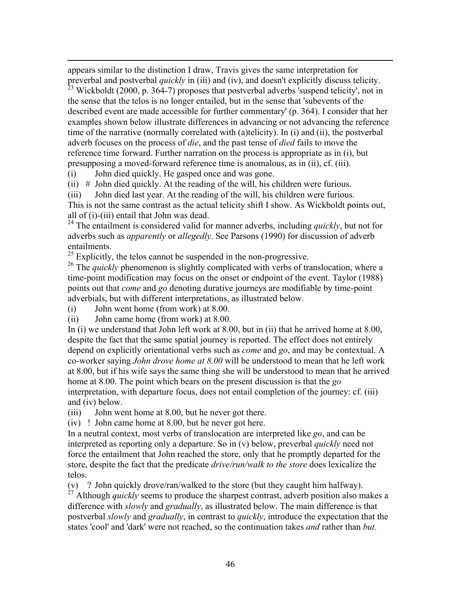appears similar to the distinction I draw, Travis gives the same interpretation for preverbal and postverbal *quickly* in (iii) and (iv), and doesn't explicitly discuss telicity.

<sup>23</sup> Wickboldt (2000, p. 364-7) proposes that postverbal adverbs 'suspend telicity', not in the sense that the telos is no longer entailed, but in the sense that 'subevents of the described event are made accessible for further commentary' (p. 364). I consider that her examples shown below illustrate differences in advancing or not advancing the reference time of the narrative (normally correlated with (a)telicity). In (i) and (ii), the postverbal adverb focuses on the process of *die*, and the past tense of *died* fails to move the reference time forward. Further narration on the process is appropriate as in (i), but presupposing a moved-forward reference time is anomalous, as in (ii), cf. (iii).

(i) John died quickly. He gasped once and was gone.

 $\overline{a}$ 

(ii) # John died quickly. At the reading of the will, his children were furious.

(iii) John died last year. At the reading of the will, his children were furious.

This is not the same contrast as the actual telicity shift I show. As Wickboldt points out, all of (i)-(iii) entail that John was dead.

24 The entailment is considered valid for manner adverbs, including *quickly*, but not for adverbs such as *apparently* or *allegedly*. See Parsons (1990) for discussion of adverb entailments.

 $25$  Explicitly, the telos cannot be suspended in the non-progressive.

<sup>26</sup> The *quickly* phenomenon is slightly complicated with verbs of translocation, where a time-point modification may focus on the onset or endpoint of the event. Taylor (1988) points out that *come* and *go* denoting durative journeys are modifiable by time-point adverbials, but with different interpretations, as illustrated below.

(i) John went home (from work) at 8.00.

(ii) John came home (from work) at 8.00.

In (i) we understand that John left work at 8.00, but in (ii) that he arrived home at 8.00, despite the fact that the same spatial journey is reported. The effect does not entirely depend on explicitly orientational verbs such as *come* and *go*, and may be contextual. A co-worker saying *John drove home at 8.00* will be understood to mean that he left work at 8.00, but if his wife says the same thing she will be understood to mean that he arrived home at 8.00. The point which bears on the present discussion is that the *go* interpretation, with departure focus, does not entail completion of the journey: cf. (iii) and (iv) below.

(iii) John went home at 8.00, but he never got there.

(iv) ! John came home at 8.00, but he never got here.

In a neutral context, most verbs of translocation are interpreted like *go*, and can be interpreted as reporting only a departure. So in (v) below, preverbal *quickly* need not force the entailment that John reached the store, only that he promptly departed for the store, despite the fact that the predicate *drive/run/walk to the store* does lexicalize the telos.

(v) ? John quickly drove/ran/walked to the store (but they caught him halfway).

<sup>27</sup> Although *quickly* seems to produce the sharpest contrast, adverb position also makes a difference with *slowly* and *gradually*, as illustrated below. The main difference is that postverbal *slowly* and *gradually*, in contrast to *quickly*, introduce the expectation that the states 'cool' and 'dark' were not reached, so the continuation takes *and* rather than *but*.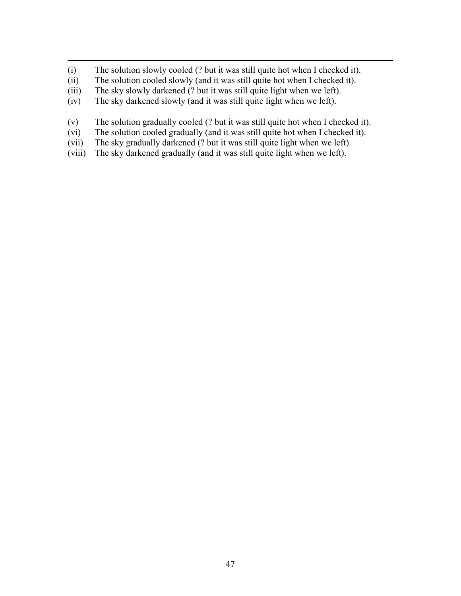- (i) The solution slowly cooled (? but it was still quite hot when I checked it).
- (ii) The solution cooled slowly (and it was still quite hot when I checked it).
- (iii) The sky slowly darkened (? but it was still quite light when we left).<br>(iv) The sky darkened slowly (and it was still quite light when we left).
- The sky darkened slowly (and it was still quite light when we left).

 $\overline{a}$ 

- (v) The solution gradually cooled (? but it was still quite hot when I checked it).
- (vi) The solution cooled gradually (and it was still quite hot when I checked it).
- (vii) The sky gradually darkened (? but it was still quite light when we left).
- (viii) The sky darkened gradually (and it was still quite light when we left).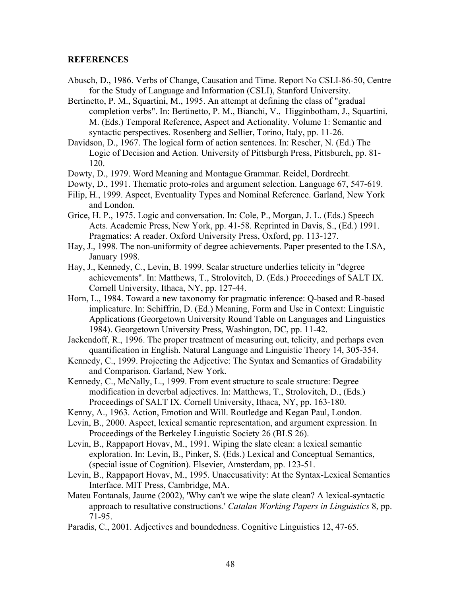#### **REFERENCES**

- Abusch, D., 1986. Verbs of Change, Causation and Time. Report No CSLI-86-50, Centre for the Study of Language and Information (CSLI), Stanford University.
- Bertinetto, P. M., Squartini, M., 1995. An attempt at defining the class of "gradual completion verbs". In: Bertinetto, P. M., Bianchi, V., Higginbotham, J., Squartini, M. (Eds.) Temporal Reference, Aspect and Actionality. Volume 1: Semantic and syntactic perspectives. Rosenberg and Sellier, Torino, Italy, pp. 11-26.
- Davidson, D., 1967. The logical form of action sentences. In: Rescher, N. (Ed.) The Logic of Decision and Action*.* University of Pittsburgh Press, Pittsburch, pp. 81- 120.
- Dowty, D., 1979. Word Meaning and Montague Grammar. Reidel, Dordrecht.
- Dowty, D., 1991. Thematic proto-roles and argument selection. Language 67, 547-619.
- Filip, H., 1999. Aspect, Eventuality Types and Nominal Reference. Garland, New York and London.
- Grice, H. P., 1975. Logic and conversation. In: Cole, P., Morgan, J. L. (Eds.) Speech Acts. Academic Press, New York, pp. 41-58. Reprinted in Davis, S., (Ed.) 1991. Pragmatics: A reader. Oxford University Press, Oxford, pp. 113-127.
- Hay, J., 1998. The non-uniformity of degree achievements. Paper presented to the LSA, January 1998.
- Hay, J., Kennedy, C., Levin, B. 1999. Scalar structure underlies telicity in "degree achievements". In: Matthews, T., Strolovitch, D. (Eds.) Proceedings of SALT IX. Cornell University, Ithaca, NY, pp. 127-44.
- Horn, L., 1984. Toward a new taxonomy for pragmatic inference: Q-based and R-based implicature. In: Schiffrin, D. (Ed.) Meaning, Form and Use in Context: Linguistic Applications (Georgetown University Round Table on Languages and Linguistics 1984). Georgetown University Press, Washington, DC, pp. 11-42.
- Jackendoff, R., 1996. The proper treatment of measuring out, telicity, and perhaps even quantification in English. Natural Language and Linguistic Theory 14, 305-354.
- Kennedy, C., 1999. Projecting the Adjective: The Syntax and Semantics of Gradability and Comparison. Garland, New York.
- Kennedy, C., McNally, L., 1999. From event structure to scale structure: Degree modification in deverbal adjectives. In: Matthews, T., Strolovitch, D., (Eds.) Proceedings of SALT IX. Cornell University, Ithaca, NY, pp. 163-180.
- Kenny, A., 1963. Action, Emotion and Will. Routledge and Kegan Paul, London.
- Levin, B., 2000. Aspect, lexical semantic representation, and argument expression. In Proceedings of the Berkeley Linguistic Society 26 (BLS 26).
- Levin, B., Rappaport Hovav, M., 1991. Wiping the slate clean: a lexical semantic exploration. In: Levin, B., Pinker, S. (Eds.) Lexical and Conceptual Semantics, (special issue of Cognition). Elsevier, Amsterdam, pp. 123-51.
- Levin, B., Rappaport Hovav, M., 1995. Unaccusativity: At the Syntax-Lexical Semantics Interface. MIT Press, Cambridge, MA.
- Mateu Fontanals, Jaume (2002), 'Why can't we wipe the slate clean? A lexical-syntactic approach to resultative constructions.' *Catalan Working Papers in Linguistics* 8, pp. 71-95.
- Paradis, C., 2001. Adjectives and boundedness. Cognitive Linguistics 12, 47-65.